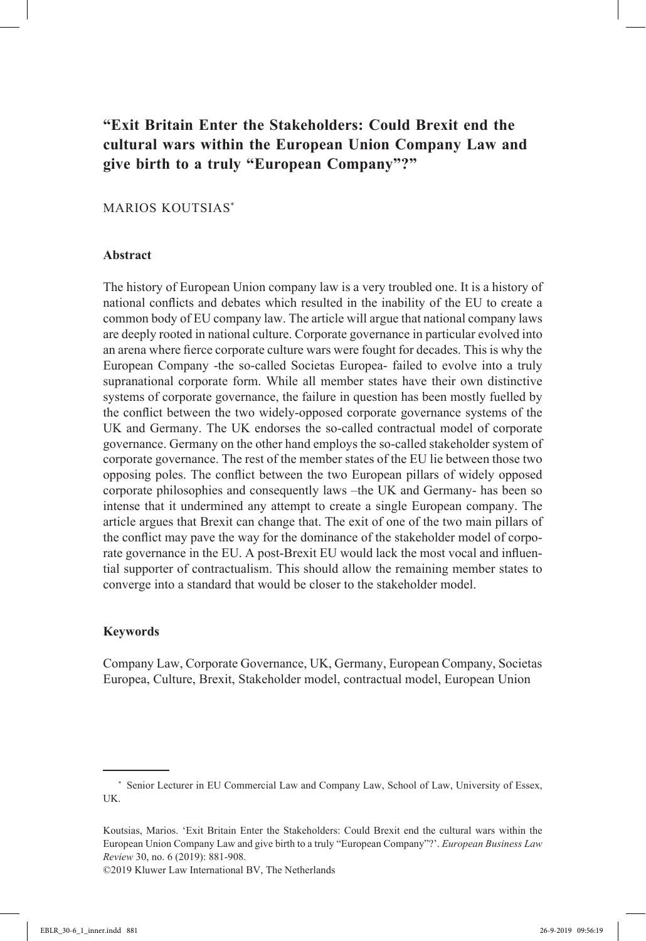# **"Exit Britain Enter the Stakeholders: Could Brexit end the cultural wars within the European Union Company Law and give birth to a truly "European Company"?"**

## Marios Koutsias\*

### **Abstract**

The history of European Union company law is a very troubled one. It is a history of national conflicts and debates which resulted in the inability of the EU to create a common body of EU company law. The article will argue that national company laws are deeply rooted in national culture. Corporate governance in particular evolved into an arena where fierce corporate culture wars were fought for decades. This is why the European Company -the so-called Societas Europea- failed to evolve into a truly supranational corporate form. While all member states have their own distinctive systems of corporate governance, the failure in question has been mostly fuelled by the conflict between the two widely-opposed corporate governance systems of the UK and Germany. The UK endorses the so-called contractual model of corporate governance. Germany on the other hand employs the so-called stakeholder system of corporate governance. The rest of the member states of the EU lie between those two opposing poles. The conflict between the two European pillars of widely opposed corporate philosophies and consequently laws –the UK and Germany- has been so intense that it undermined any attempt to create a single European company. The article argues that Brexit can change that. The exit of one of the two main pillars of the conflict may pave the way for the dominance of the stakeholder model of corporate governance in the EU. A post-Brexit EU would lack the most vocal and influential supporter of contractualism. This should allow the remaining member states to converge into a standard that would be closer to the stakeholder model.

## **Keywords**

Company Law, Corporate Governance, UK, Germany, European Company, Societas Europea, Culture, Brexit, Stakeholder model, contractual model, European Union

©2019 Kluwer Law International BV, The Netherlands

<sup>\*</sup> Senior Lecturer in EU Commercial Law and Company Law, School of Law, University of Essex, UK.

Koutsias, Marios. 'Exit Britain Enter the Stakeholders: Could Brexit end the cultural wars within the European Union Company Law and give birth to a truly "European Company"?'. *European Business Law Review* 30, no. 6 (2019): 881-908.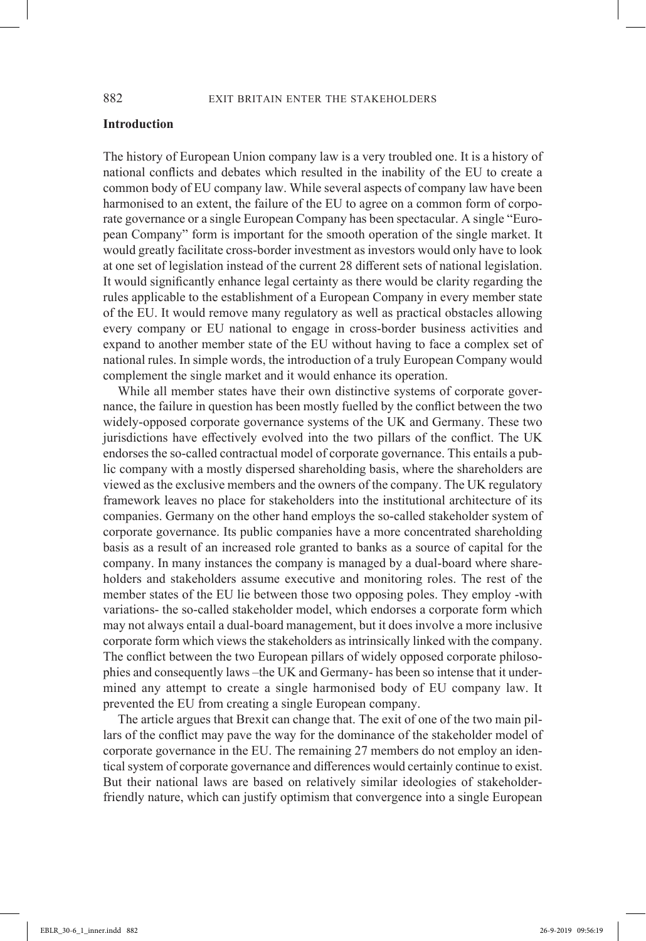### **Introduction**

The history of European Union company law is a very troubled one. It is a history of national conflicts and debates which resulted in the inability of the EU to create a common body of EU company law. While several aspects of company law have been harmonised to an extent, the failure of the EU to agree on a common form of corporate governance or a single European Company has been spectacular. A single "European Company" form is important for the smooth operation of the single market. It would greatly facilitate cross-border investment as investors would only have to look at one set of legislation instead of the current 28 different sets of national legislation. It would significantly enhance legal certainty as there would be clarity regarding the rules applicable to the establishment of a European Company in every member state of the EU. It would remove many regulatory as well as practical obstacles allowing every company or EU national to engage in cross-border business activities and expand to another member state of the EU without having to face a complex set of national rules. In simple words, the introduction of a truly European Company would complement the single market and it would enhance its operation.

While all member states have their own distinctive systems of corporate governance, the failure in question has been mostly fuelled by the conflict between the two widely-opposed corporate governance systems of the UK and Germany. These two jurisdictions have effectively evolved into the two pillars of the conflict. The UK endorses the so-called contractual model of corporate governance. This entails a public company with a mostly dispersed shareholding basis, where the shareholders are viewed as the exclusive members and the owners of the company. The UK regulatory framework leaves no place for stakeholders into the institutional architecture of its companies. Germany on the other hand employs the so-called stakeholder system of corporate governance. Its public companies have a more concentrated shareholding basis as a result of an increased role granted to banks as a source of capital for the company. In many instances the company is managed by a dual-board where shareholders and stakeholders assume executive and monitoring roles. The rest of the member states of the EU lie between those two opposing poles. They employ -with variations- the so-called stakeholder model, which endorses a corporate form which may not always entail a dual-board management, but it does involve a more inclusive corporate form which views the stakeholders as intrinsically linked with the company. The conflict between the two European pillars of widely opposed corporate philosophies and consequently laws –the UK and Germany- has been so intense that it undermined any attempt to create a single harmonised body of EU company law. It prevented the EU from creating a single European company.

The article argues that Brexit can change that. The exit of one of the two main pillars of the conflict may pave the way for the dominance of the stakeholder model of corporate governance in the EU. The remaining 27 members do not employ an identical system of corporate governance and differences would certainly continue to exist. But their national laws are based on relatively similar ideologies of stakeholderfriendly nature, which can justify optimism that convergence into a single European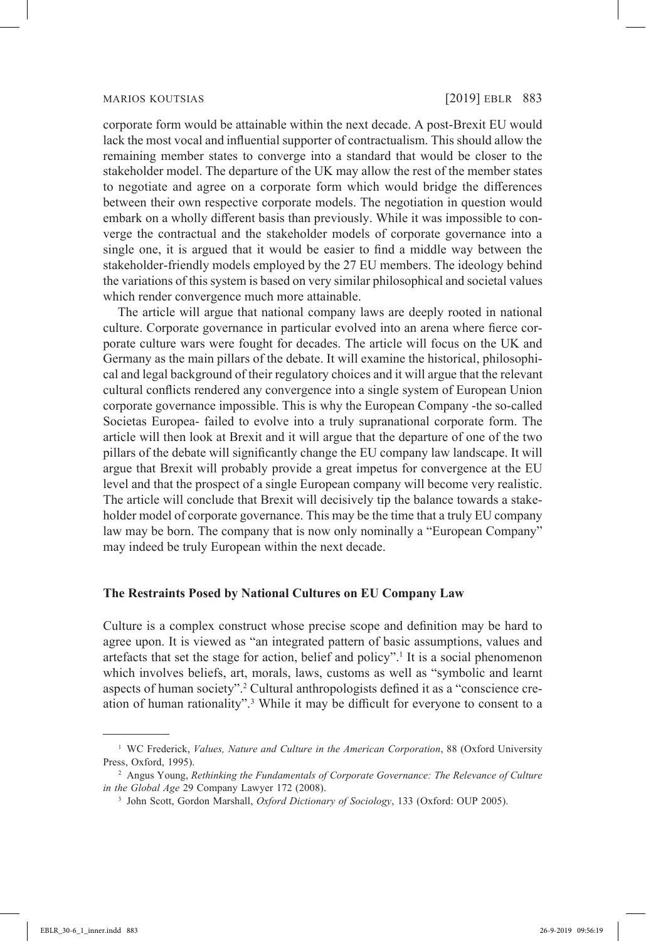corporate form would be attainable within the next decade. A post-Brexit EU would lack the most vocal and influential supporter of contractualism. This should allow the remaining member states to converge into a standard that would be closer to the stakeholder model. The departure of the UK may allow the rest of the member states to negotiate and agree on a corporate form which would bridge the differences between their own respective corporate models. The negotiation in question would embark on a wholly different basis than previously. While it was impossible to converge the contractual and the stakeholder models of corporate governance into a single one, it is argued that it would be easier to find a middle way between the stakeholder-friendly models employed by the 27 EU members. The ideology behind the variations of this system is based on very similar philosophical and societal values which render convergence much more attainable.

The article will argue that national company laws are deeply rooted in national culture. Corporate governance in particular evolved into an arena where fierce corporate culture wars were fought for decades. The article will focus on the UK and Germany as the main pillars of the debate. It will examine the historical, philosophical and legal background of their regulatory choices and it will argue that the relevant cultural conflicts rendered any convergence into a single system of European Union corporate governance impossible. This is why the European Company -the so-called Societas Europea- failed to evolve into a truly supranational corporate form. The article will then look at Brexit and it will argue that the departure of one of the two pillars of the debate will significantly change the EU company law landscape. It will argue that Brexit will probably provide a great impetus for convergence at the EU level and that the prospect of a single European company will become very realistic. The article will conclude that Brexit will decisively tip the balance towards a stakeholder model of corporate governance. This may be the time that a truly EU company law may be born. The company that is now only nominally a "European Company" may indeed be truly European within the next decade.

## **The Restraints Posed by National Cultures on EU Company Law**

Culture is a complex construct whose precise scope and definition may be hard to agree upon. It is viewed as "an integrated pattern of basic assumptions, values and artefacts that set the stage for action, belief and policy".<sup>1</sup> It is a social phenomenon which involves beliefs, art, morals, laws, customs as well as "symbolic and learnt aspects of human society".<sup>2</sup> Cultural anthropologists defined it as a "conscience creation of human rationality".3 While it may be difficult for everyone to consent to a

<sup>&</sup>lt;sup>1</sup> WC Frederick, *Values, Nature and Culture in the American Corporation*, 88 (Oxford University Press, Oxford, 1995).

<sup>&</sup>lt;sup>2</sup> Angus Young, *Rethinking the Fundamentals of Corporate Governance: The Relevance of Culture in the Global Age* 29 Company Lawyer 172 (2008).

<sup>3</sup> John Scott, Gordon Marshall, *Oxford Dictionary of Sociology*, 133 (Oxford: OUP 2005).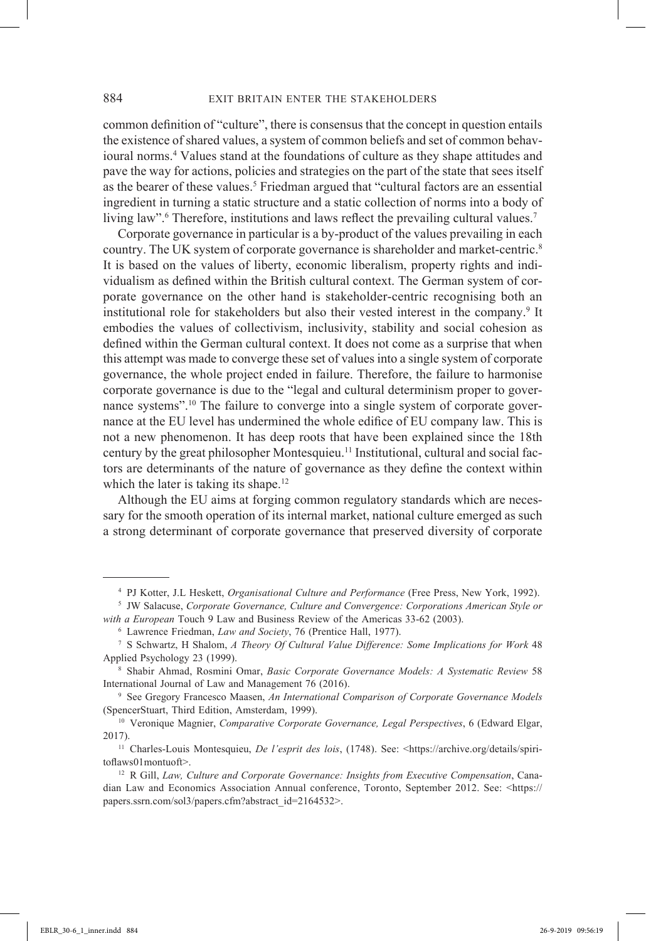common definition of "culture", there is consensus that the concept in question entails the existence of shared values, a system of common beliefs and set of common behavioural norms.4 Values stand at the foundations of culture as they shape attitudes and pave the way for actions, policies and strategies on the part of the state that sees itself as the bearer of these values.<sup>5</sup> Friedman argued that "cultural factors are an essential ingredient in turning a static structure and a static collection of norms into a body of living law".<sup>6</sup> Therefore, institutions and laws reflect the prevailing cultural values.<sup>7</sup>

Corporate governance in particular is a by-product of the values prevailing in each country. The UK system of corporate governance is shareholder and market-centric.8 It is based on the values of liberty, economic liberalism, property rights and individualism as defined within the British cultural context. The German system of corporate governance on the other hand is stakeholder-centric recognising both an institutional role for stakeholders but also their vested interest in the company.9 It embodies the values of collectivism, inclusivity, stability and social cohesion as defined within the German cultural context. It does not come as a surprise that when this attempt was made to converge these set of values into a single system of corporate governance, the whole project ended in failure. Therefore, the failure to harmonise corporate governance is due to the "legal and cultural determinism proper to governance systems".10 The failure to converge into a single system of corporate governance at the EU level has undermined the whole edifice of EU company law. This is not a new phenomenon. It has deep roots that have been explained since the 18th century by the great philosopher Montesquieu.<sup>11</sup> Institutional, cultural and social factors are determinants of the nature of governance as they define the context within which the later is taking its shape.<sup>12</sup>

Although the EU aims at forging common regulatory standards which are necessary for the smooth operation of its internal market, national culture emerged as such a strong determinant of corporate governance that preserved diversity of corporate

<sup>4</sup> PJ Kotter, J.L Heskett, *Organisational Culture and Performance* (Free Press, New York, 1992).

<sup>5</sup> JW Salacuse, *Corporate Governance, Culture and Convergence: Corporations American Style or with a European* Touch 9 Law and Business Review of the Americas 33-62 (2003).

Lawrence Friedman, *Law and Society*, 76 (Prentice Hall, 1977).

<sup>7</sup> S Schwartz, H Shalom, *A Theory Of Cultural Value Difference: Some Implications for Work* 48 Applied Psychology 23 (1999).

<sup>8</sup> Shabir Ahmad, Rosmini Omar, *Basic Corporate Governance Models: A Systematic Review* 58 International Journal of Law and Management 76 (2016).

<sup>9</sup> See Gregory Francesco Maasen, *An International Comparison of Corporate Governance Models* (SpencerStuart, Third Edition, Amsterdam, 1999). 10 Veronique Magnier, *Comparative Corporate Governance, Legal Perspectives*, 6 (Edward Elgar,

<sup>2017).</sup>

<sup>&</sup>lt;sup>11</sup> Charles-Louis Montesquieu, *De l'esprit des lois*, (1748). See: <https://archive.org/details/spiritoflaws01montuoft>.

<sup>&</sup>lt;sup>12</sup> R Gill, *Law, Culture and Corporate Governance: Insights from Executive Compensation*, Canadian Law and Economics Association Annual conference, Toronto, September 2012. See: <https:// papers.ssrn.com/sol3/papers.cfm?abstract\_id=2164532>.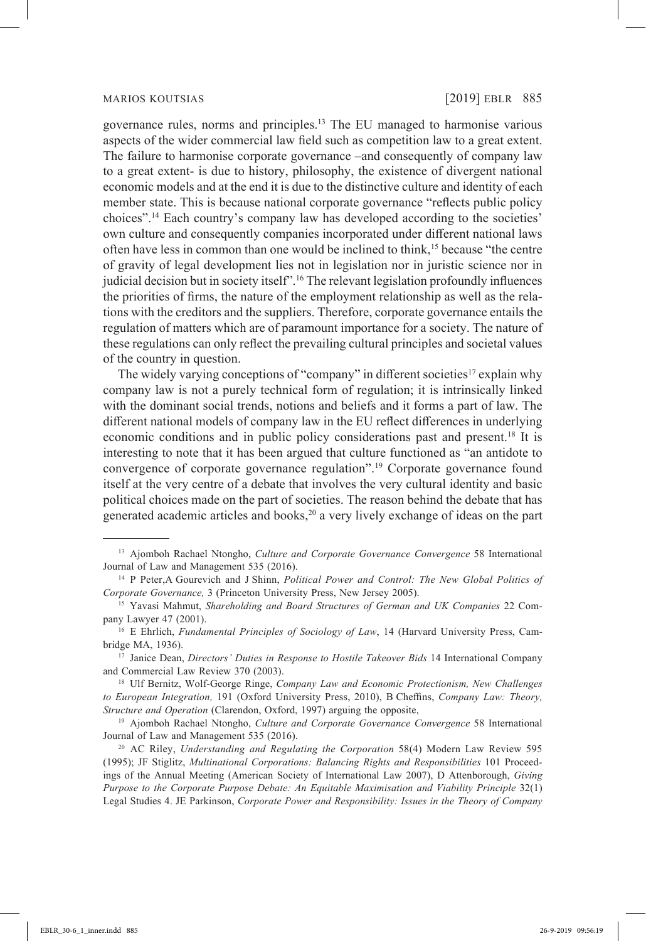governance rules, norms and principles.13 The EU managed to harmonise various aspects of the wider commercial law field such as competition law to a great extent. The failure to harmonise corporate governance –and consequently of company law to a great extent- is due to history, philosophy, the existence of divergent national economic models and at the end it is due to the distinctive culture and identity of each member state. This is because national corporate governance "reflects public policy choices".14 Each country's company law has developed according to the societies' own culture and consequently companies incorporated under different national laws often have less in common than one would be inclined to think,15 because "the centre of gravity of legal development lies not in legislation nor in juristic science nor in judicial decision but in society itself".<sup>16</sup> The relevant legislation profoundly influences the priorities of firms, the nature of the employment relationship as well as the relations with the creditors and the suppliers. Therefore, corporate governance entails the regulation of matters which are of paramount importance for a society. The nature of these regulations can only reflect the prevailing cultural principles and societal values of the country in question.

The widely varying conceptions of "company" in different societies<sup>17</sup> explain why company law is not a purely technical form of regulation; it is intrinsically linked with the dominant social trends, notions and beliefs and it forms a part of law. The different national models of company law in the EU reflect differences in underlying economic conditions and in public policy considerations past and present.<sup>18</sup> It is interesting to note that it has been argued that culture functioned as "an antidote to convergence of corporate governance regulation".19 Corporate governance found itself at the very centre of a debate that involves the very cultural identity and basic political choices made on the part of societies. The reason behind the debate that has generated academic articles and books,<sup>20</sup> a very lively exchange of ideas on the part

<sup>13</sup> Ajomboh Rachael Ntongho, *Culture and Corporate Governance Convergence* 58 International Journal of Law and Management 535 (2016).

<sup>14</sup> P Peter,A Gourevich and J Shinn, *Political Power and Control: The New Global Politics of Corporate Governance,* 3 (Princeton University Press, New Jersey 2005).

<sup>15</sup> Yavasi Mahmut, *Shareholding and Board Structures of German and UK Companies* 22 Company Lawyer 47 (2001).

<sup>16</sup> E Ehrlich, *Fundamental Principles of Sociology of Law*, 14 (Harvard University Press, Cambridge MA, 1936).

<sup>&</sup>lt;sup>17</sup> Janice Dean, *Directors' Duties in Response to Hostile Takeover Bids* 14 International Company and Commercial Law Review 370 (2003).

<sup>18</sup> Ulf Bernitz, Wolf-George Ringe, *Company Law and Economic Protectionism, New Challenges to European Integration,* 191 (Oxford University Press, 2010), B Cheffins, *Company Law: Theory, Structure and Operation* (Clarendon, Oxford, 1997) arguing the opposite, 19 Ajomboh Rachael Ntongho, *Culture and Corporate Governance Convergence* 58 International

Journal of Law and Management 535 (2016).

<sup>20</sup> AC Riley, *Understanding and Regulating the Corporation* 58(4) Modern Law Review 595 (1995); JF Stiglitz, *Multinational Corporations: Balancing Rights and Responsibilities* 101 Proceedings of the Annual Meeting (American Society of International Law 2007), D Attenborough, *Giving Purpose to the Corporate Purpose Debate: An Equitable Maximisation and Viability Principle* 32(1) Legal Studies 4. JE Parkinson, *Corporate Power and Responsibility: Issues in the Theory of Company*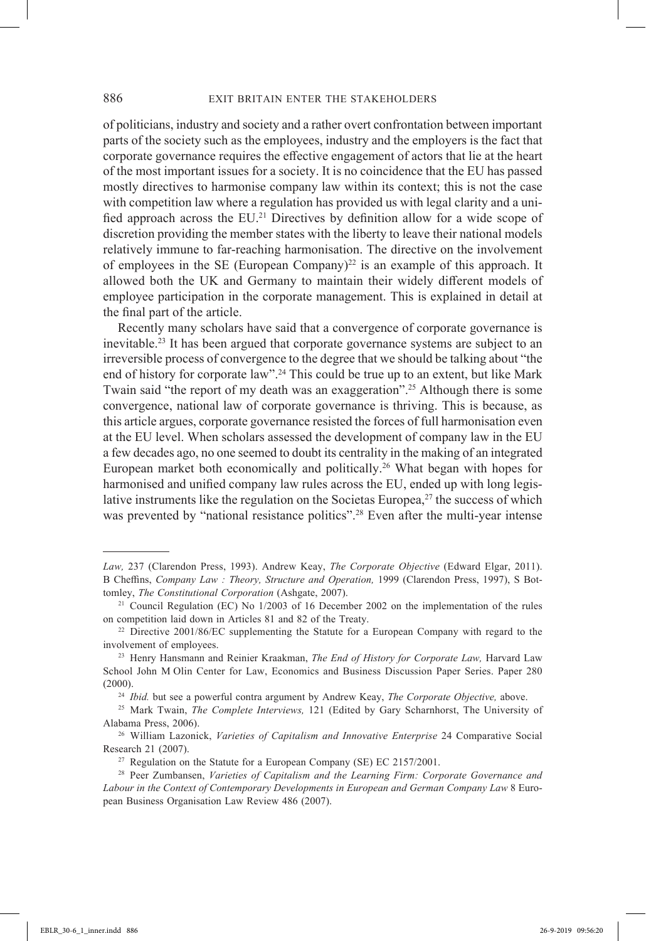of politicians, industry and society and a rather overt confrontation between important parts of the society such as the employees, industry and the employers is the fact that corporate governance requires the effective engagement of actors that lie at the heart of the most important issues for a society. It is no coincidence that the EU has passed mostly directives to harmonise company law within its context; this is not the case with competition law where a regulation has provided us with legal clarity and a unified approach across the EU.<sup>21</sup> Directives by definition allow for a wide scope of discretion providing the member states with the liberty to leave their national models relatively immune to far-reaching harmonisation. The directive on the involvement of employees in the SE (European Company)<sup>22</sup> is an example of this approach. It allowed both the UK and Germany to maintain their widely different models of employee participation in the corporate management. This is explained in detail at the final part of the article.

Recently many scholars have said that a convergence of corporate governance is inevitable.23 It has been argued that corporate governance systems are subject to an irreversible process of convergence to the degree that we should be talking about "the end of history for corporate law".<sup>24</sup> This could be true up to an extent, but like Mark Twain said "the report of my death was an exaggeration".<sup>25</sup> Although there is some convergence, national law of corporate governance is thriving. This is because, as this article argues, corporate governance resisted the forces of full harmonisation even at the EU level. When scholars assessed the development of company law in the EU a few decades ago, no one seemed to doubt its centrality in the making of an integrated European market both economically and politically.26 What began with hopes for harmonised and unified company law rules across the EU, ended up with long legislative instruments like the regulation on the Societas Europea, $27$  the success of which was prevented by "national resistance politics".<sup>28</sup> Even after the multi-year intense

*Law,* 237 (Clarendon Press, 1993). Andrew Keay, *The Corporate Objective* (Edward Elgar, 2011). B Cheffins, *Company Law : Theory, Structure and Operation,* 1999 (Clarendon Press, 1997), S Bottomley, *The Constitutional Corporation* (Ashgate, 2007). 21 Council Regulation (EC) No 1/2003 of 16 December 2002 on the implementation of the rules

on competition laid down in Articles 81 and 82 of the Treaty.

<sup>&</sup>lt;sup>22</sup> Directive 2001/86/EC supplementing the Statute for a European Company with regard to the involvement of employees.

<sup>23</sup> Henry Hansmann and Reinier Kraakman, *The End of History for Corporate Law,* Harvard Law School John M Olin Center for Law, Economics and Business Discussion Paper Series. Paper 280 (2000). 24 *Ibid.* but see a powerful contra argument by Andrew Keay, *The Corporate Objective,* above.

<sup>25</sup> Mark Twain, *The Complete Interviews,* 121 (Edited by Gary Scharnhorst, The University of Alabama Press, 2006).

<sup>26</sup> William Lazonick, *Varieties of Capitalism and Innovative Enterprise* 24 Comparative Social Research 21 (2007).

<sup>&</sup>lt;sup>27</sup> Regulation on the Statute for a European Company (SE) EC  $2157/2001$ .

<sup>28</sup> Peer Zumbansen, *Varieties of Capitalism and the Learning Firm: Corporate Governance and Labour in the Context of Contemporary Developments in European and German Company Law* 8 European Business Organisation Law Review 486 (2007).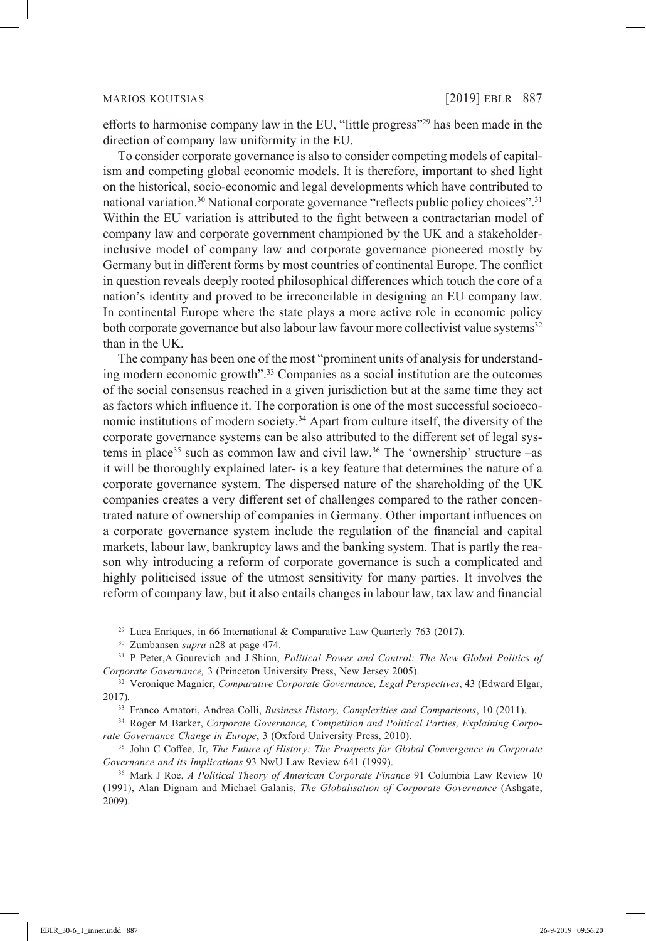efforts to harmonise company law in the EU, "little progress"29 has been made in the direction of company law uniformity in the EU.

To consider corporate governance is also to consider competing models of capitalism and competing global economic models. It is therefore, important to shed light on the historical, socio-economic and legal developments which have contributed to national variation.<sup>30</sup> National corporate governance "reflects public policy choices".<sup>31</sup> Within the EU variation is attributed to the fight between a contractarian model of company law and corporate government championed by the UK and a stakeholderinclusive model of company law and corporate governance pioneered mostly by Germany but in different forms by most countries of continental Europe. The conflict in question reveals deeply rooted philosophical differences which touch the core of a nation's identity and proved to be irreconcilable in designing an EU company law. In continental Europe where the state plays a more active role in economic policy both corporate governance but also labour law favour more collectivist value systems<sup>32</sup> than in the UK.

The company has been one of the most "prominent units of analysis for understanding modern economic growth".33 Companies as a social institution are the outcomes of the social consensus reached in a given jurisdiction but at the same time they act as factors which influence it. The corporation is one of the most successful socioeconomic institutions of modern society.<sup>34</sup> Apart from culture itself, the diversity of the corporate governance systems can be also attributed to the different set of legal systems in place<sup>35</sup> such as common law and civil law.<sup>36</sup> The 'ownership' structure –as it will be thoroughly explained later- is a key feature that determines the nature of a corporate governance system. The dispersed nature of the shareholding of the UK companies creates a very different set of challenges compared to the rather concentrated nature of ownership of companies in Germany. Other important influences on a corporate governance system include the regulation of the financial and capital markets, labour law, bankruptcy laws and the banking system. That is partly the reason why introducing a reform of corporate governance is such a complicated and highly politicised issue of the utmost sensitivity for many parties. It involves the reform of company law, but it also entails changes in labour law, tax law and financial

<sup>&</sup>lt;sup>29</sup> Luca Enriques, in 66 International & Comparative Law Quarterly 763 (2017).

<sup>30</sup> Zumbansen *supra* n28 at page 474.

<sup>31</sup> P Peter,A Gourevich and J Shinn, *Political Power and Control: The New Global Politics of Corporate Governance,* 3 (Princeton University Press, New Jersey 2005).

<sup>32</sup> Veronique Magnier, *Comparative Corporate Governance, Legal Perspectives*, 43 (Edward Elgar, 2017)*.*

<sup>33</sup> Franco Amatori, Andrea Colli, *Business History, Complexities and Comparisons*, 10 (2011).

<sup>34</sup> Roger M Barker, *Corporate Governance, Competition and Political Parties, Explaining Corporate Governance Change in Europe*, 3 (Oxford University Press, 2010).

<sup>35</sup> John C Coffee, Jr, *The Future of History: The Prospects for Global Convergence in Corporate Governance and its Implications* 93 NwU Law Review 641 (1999).

<sup>36</sup> Mark J Roe, *A Political Theory of American Corporate Finance* 91 Columbia Law Review 10 (1991), Alan Dignam and Michael Galanis, *The Globalisation of Corporate Governance* (Ashgate, 2009).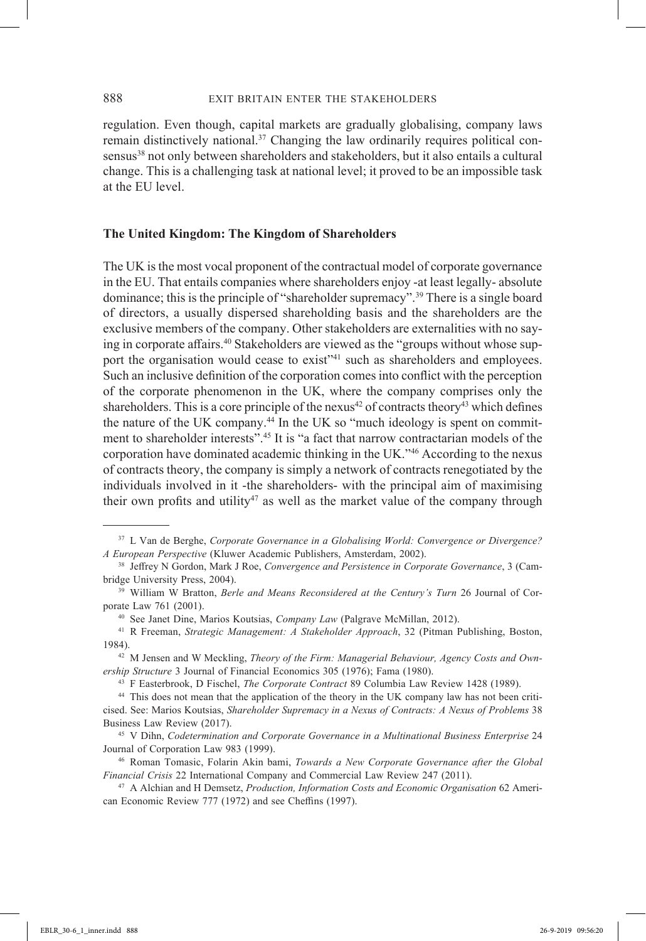regulation. Even though, capital markets are gradually globalising, company laws remain distinctively national.<sup>37</sup> Changing the law ordinarily requires political consensus<sup>38</sup> not only between shareholders and stakeholders, but it also entails a cultural change. This is a challenging task at national level; it proved to be an impossible task at the EU level.

## **The United Kingdom: The Kingdom of Shareholders**

The UK is the most vocal proponent of the contractual model of corporate governance in the EU. That entails companies where shareholders enjoy -at least legally- absolute dominance; this is the principle of "shareholder supremacy".39 There is a single board of directors, a usually dispersed shareholding basis and the shareholders are the exclusive members of the company. Other stakeholders are externalities with no saying in corporate affairs.<sup>40</sup> Stakeholders are viewed as the "groups without whose support the organisation would cease to exist<sup>141</sup> such as shareholders and employees. Such an inclusive definition of the corporation comes into conflict with the perception of the corporate phenomenon in the UK, where the company comprises only the shareholders. This is a core principle of the nexus<sup>42</sup> of contracts theory<sup>43</sup> which defines the nature of the UK company.<sup>44</sup> In the UK so "much ideology is spent on commitment to shareholder interests".<sup>45</sup> It is "a fact that narrow contractarian models of the corporation have dominated academic thinking in the UK."46 According to the nexus of contracts theory, the company is simply a network of contracts renegotiated by the individuals involved in it -the shareholders- with the principal aim of maximising their own profits and utility<sup>47</sup> as well as the market value of the company through

39 William W Bratton, *Berle and Means Reconsidered at the Century's Turn* 26 Journal of Corporate Law 761 (2001).

<sup>37</sup> L Van de Berghe, *Corporate Governance in a Globalising World: Convergence or Divergence? A European Perspective* (Kluwer Academic Publishers, Amsterdam, 2002). 38 Jeffrey N Gordon, Mark J Roe, *Convergence and Persistence in Corporate Governance*, 3 (Cam-

bridge University Press, 2004).

<sup>40</sup> See Janet Dine, Marios Koutsias, *Company Law* (Palgrave McMillan, 2012). 41 R Freeman, *Strategic Management: A Stakeholder Approach*, 32 (Pitman Publishing, Boston, 1984).

<sup>42</sup> M Jensen and W Meckling, *Theory of the Firm: Managerial Behaviour, Agency Costs and Ownership Structure* 3 Journal of Financial Economics 305 (1976); Fama (1980).

<sup>43</sup> F Easterbrook, D Fischel, *The Corporate Contract* 89 Columbia Law Review 1428 (1989).

<sup>44</sup> This does not mean that the application of the theory in the UK company law has not been criticised. See: Marios Koutsias, *Shareholder Supremacy in a Nexus of Contracts: A Nexus of Problems* 38 Business Law Review (2017).

<sup>45</sup> V Dihn, *Codetermination and Corporate Governance in a Multinational Business Enterprise* 24 Journal of Corporation Law 983 (1999).

<sup>46</sup> Roman Tomasic, Folarin Akin bami, *Towards a New Corporate Governance after the Global Financial Crisis* 22 International Company and Commercial Law Review 247 (2011).

<sup>47</sup> A Alchian and H Demsetz, *Production, Information Costs and Economic Organisation* 62 American Economic Review 777 (1972) and see Cheffins (1997).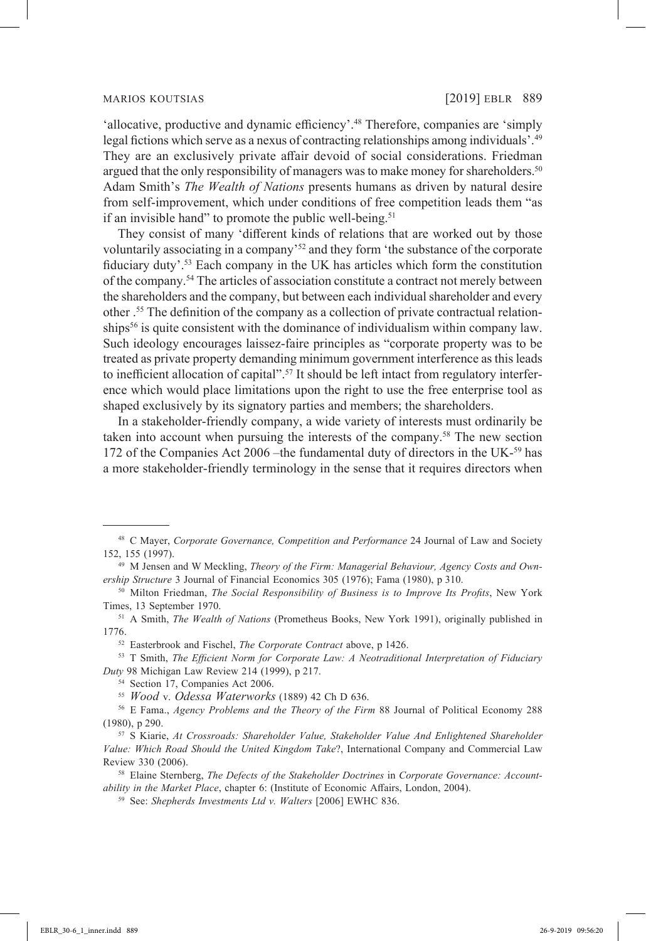'allocative, productive and dynamic efficiency'.<sup>48</sup> Therefore, companies are 'simply legal fictions which serve as a nexus of contracting relationships among individuals'.<sup>49</sup> They are an exclusively private affair devoid of social considerations. Friedman argued that the only responsibility of managers was to make money for shareholders.<sup>50</sup> Adam Smith's *The Wealth of Nations* presents humans as driven by natural desire from self-improvement, which under conditions of free competition leads them "as if an invisible hand" to promote the public well-being.<sup>51</sup>

They consist of many 'different kinds of relations that are worked out by those voluntarily associating in a company'52 and they form 'the substance of the corporate fiduciary duty'.53 Each company in the UK has articles which form the constitution of the company.54 The articles of association constitute a contract not merely between the shareholders and the company, but between each individual shareholder and every other .55 The definition of the company as a collection of private contractual relationships<sup>56</sup> is quite consistent with the dominance of individualism within company law. Such ideology encourages laissez-faire principles as "corporate property was to be treated as private property demanding minimum government interference as this leads to inefficient allocation of capital".<sup>57</sup> It should be left intact from regulatory interference which would place limitations upon the right to use the free enterprise tool as shaped exclusively by its signatory parties and members; the shareholders.

In a stakeholder-friendly company, a wide variety of interests must ordinarily be taken into account when pursuing the interests of the company.58 The new section 172 of the Companies Act 2006 –the fundamental duty of directors in the UK-<sup>59</sup> has a more stakeholder-friendly terminology in the sense that it requires directors when

<sup>48</sup> C Mayer, *Corporate Governance, Competition and Performance* 24 Journal of Law and Society 152, 155 (1997).

<sup>49</sup> M Jensen and W Meckling, *Theory of the Firm: Managerial Behaviour, Agency Costs and Ownership Structure* 3 Journal of Financial Economics 305 (1976); Fama (1980), p 310.

<sup>50</sup> Milton Friedman, *The Social Responsibility of Business is to Improve Its Profits*, New York Times, 13 September 1970.

<sup>51</sup> A Smith, *The Wealth of Nations* (Prometheus Books, New York 1991), originally published in 1776.

<sup>52</sup> Easterbrook and Fischel, *The Corporate Contract* above, p 1426.

<sup>53</sup> T Smith, *The Efficient Norm for Corporate Law: A Neotraditional Interpretation of Fiduciary Duty* 98 Michigan Law Review 214 (1999), p 217.

<sup>54</sup> Section 17, Companies Act 2006.

<sup>55</sup> *Wood* v. *Odessa Waterworks* (1889) 42 Ch D 636.

<sup>56</sup> E Fama., *Agency Problems and the Theory of the Firm* 88 Journal of Political Economy 288 (1980), p 290.

<sup>57</sup> S Kiarie, *At Crossroads: Shareholder Value, Stakeholder Value And Enlightened Shareholder Value: Which Road Should the United Kingdom Take*?, International Company and Commercial Law Review 330 (2006).

<sup>58</sup> Elaine Sternberg, *The Defects of the Stakeholder Doctrines* in *Corporate Governance: Accountability in the Market Place*, chapter 6: (Institute of Economic Affairs, London, 2004).

<sup>59</sup> See: *Shepherds Investments Ltd v. Walters* [2006] EWHC 836.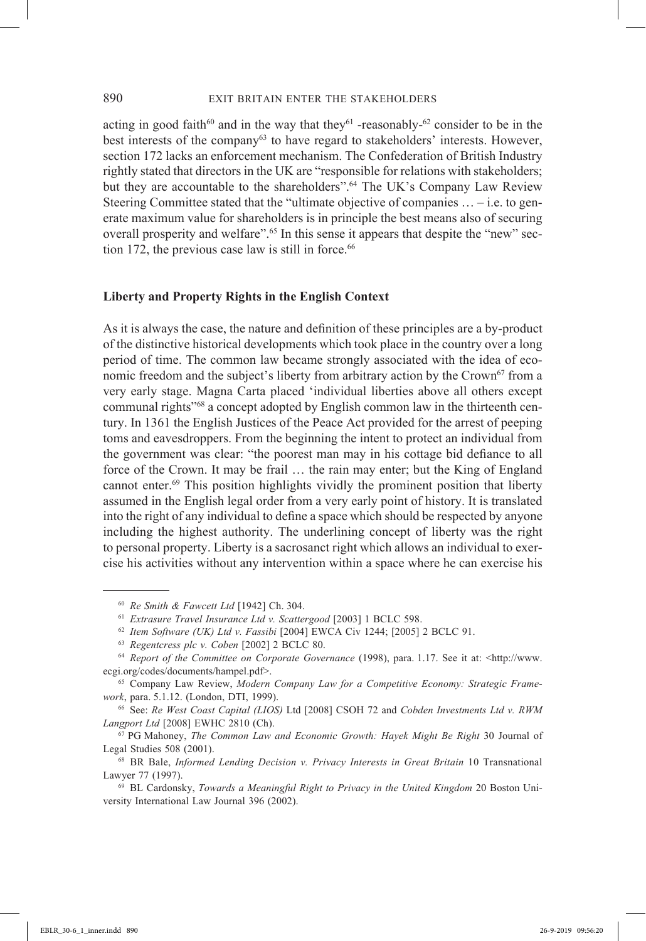acting in good faith<sup>60</sup> and in the way that they<sup>61</sup> -reasonably-<sup>62</sup> consider to be in the best interests of the company<sup>63</sup> to have regard to stakeholders' interests. However, section 172 lacks an enforcement mechanism. The Confederation of British Industry rightly stated that directors in the UK are "responsible for relations with stakeholders; but they are accountable to the shareholders".<sup>64</sup> The UK's Company Law Review Steering Committee stated that the "ultimate objective of companies … – i.e. to generate maximum value for shareholders is in principle the best means also of securing overall prosperity and welfare".<sup>65</sup> In this sense it appears that despite the "new" section 172, the previous case law is still in force. $66$ 

## **Liberty and Property Rights in the English Context**

As it is always the case, the nature and definition of these principles are a by-product of the distinctive historical developments which took place in the country over a long period of time. The common law became strongly associated with the idea of economic freedom and the subject's liberty from arbitrary action by the Crown<sup>67</sup> from a very early stage. Magna Carta placed 'individual liberties above all others except communal rights"68 a concept adopted by English common law in the thirteenth century. In 1361 the English Justices of the Peace Act provided for the arrest of peeping toms and eavesdroppers. From the beginning the intent to protect an individual from the government was clear: "the poorest man may in his cottage bid defiance to all force of the Crown. It may be frail … the rain may enter; but the King of England cannot enter.<sup>69</sup> This position highlights vividly the prominent position that liberty assumed in the English legal order from a very early point of history. It is translated into the right of any individual to define a space which should be respected by anyone including the highest authority. The underlining concept of liberty was the right to personal property. Liberty is a sacrosanct right which allows an individual to exercise his activities without any intervention within a space where he can exercise his

<sup>60</sup> *Re Smith & Fawcett Ltd* [1942] Ch. 304.

<sup>61</sup> *Extrasure Travel Insurance Ltd v. Scattergood* [2003] 1 BCLC 598.

<sup>62</sup> *Item Software (UK) Ltd v. Fassibi* [2004] EWCA Civ 1244; [2005] 2 BCLC 91.

<sup>63</sup> *Regentcress plc v. Coben* [2002] 2 BCLC 80.

<sup>64</sup> *Report of the Committee on Corporate Governance* (1998), para. 1.17. See it at: <http://www. ecgi.org/codes/documents/hampel.pdf>.

<sup>65</sup> Company Law Review, *Modern Company Law for a Competitive Economy: Strategic Framework*, para. 5.1.12. (London, DTI, 1999).

<sup>66</sup> See: *Re West Coast Capital (LIOS)* Ltd [2008] CSOH 72 and *Cobden Investments Ltd v. RWM Langport Ltd* [2008] EWHC 2810 (Ch).

<sup>67</sup> PG Mahoney, *The Common Law and Economic Growth: Hayek Might Be Right* 30 Journal of Legal Studies 508 (2001).

<sup>68</sup> BR Bale, *Informed Lending Decision v. Privacy Interests in Great Britain* 10 Transnational Lawyer 77 (1997).

<sup>69</sup> BL Cardonsky, *Towards a Meaningful Right to Privacy in the United Kingdom* 20 Boston University International Law Journal 396 (2002).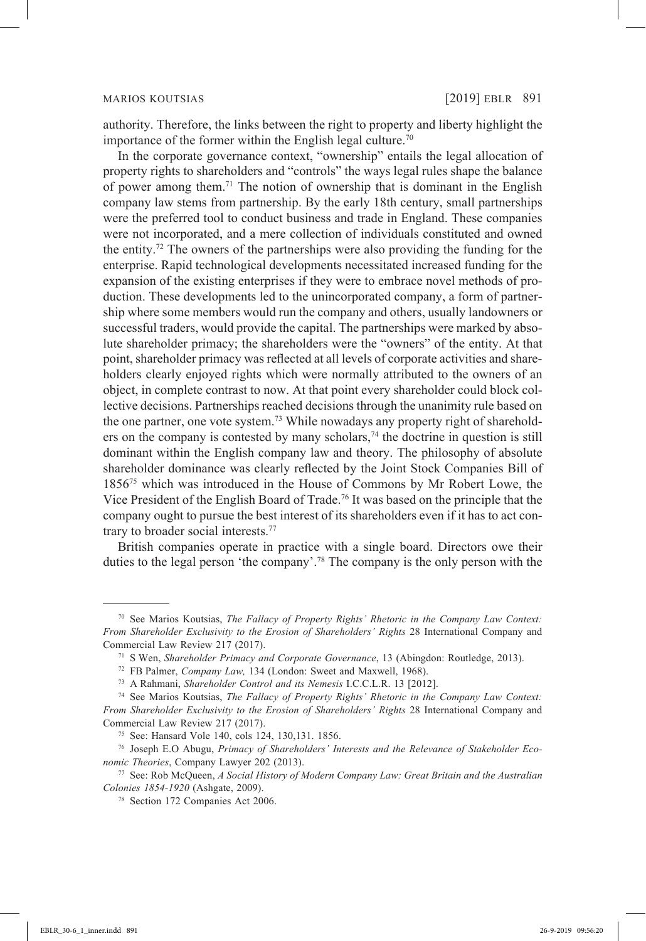authority. Therefore, the links between the right to property and liberty highlight the importance of the former within the English legal culture.<sup>70</sup>

In the corporate governance context, "ownership" entails the legal allocation of property rights to shareholders and "controls" the ways legal rules shape the balance of power among them.<sup>71</sup> The notion of ownership that is dominant in the English company law stems from partnership. By the early 18th century, small partnerships were the preferred tool to conduct business and trade in England. These companies were not incorporated, and a mere collection of individuals constituted and owned the entity.<sup>72</sup> The owners of the partnerships were also providing the funding for the enterprise. Rapid technological developments necessitated increased funding for the expansion of the existing enterprises if they were to embrace novel methods of production. These developments led to the unincorporated company, a form of partnership where some members would run the company and others, usually landowners or successful traders, would provide the capital. The partnerships were marked by absolute shareholder primacy; the shareholders were the "owners" of the entity. At that point, shareholder primacy was reflected at all levels of corporate activities and shareholders clearly enjoyed rights which were normally attributed to the owners of an object, in complete contrast to now. At that point every shareholder could block collective decisions. Partnerships reached decisions through the unanimity rule based on the one partner, one vote system.<sup>73</sup> While nowadays any property right of shareholders on the company is contested by many scholars,  $74$  the doctrine in question is still dominant within the English company law and theory. The philosophy of absolute shareholder dominance was clearly reflected by the Joint Stock Companies Bill of 185675 which was introduced in the House of Commons by Mr Robert Lowe, the Vice President of the English Board of Trade.<sup>76</sup> It was based on the principle that the company ought to pursue the best interest of its shareholders even if it has to act contrary to broader social interests.<sup>77</sup>

British companies operate in practice with a single board. Directors owe their duties to the legal person 'the company'.78 The company is the only person with the

<sup>70</sup> See Marios Koutsias, *The Fallacy of Property Rights' Rhetoric in the Company Law Context: From Shareholder Exclusivity to the Erosion of Shareholders' Rights* 28 International Company and Commercial Law Review 217 (2017).

<sup>71</sup> S Wen, *Shareholder Primacy and Corporate Governance*, 13 (Abingdon: Routledge, 2013).

<sup>72</sup> FB Palmer, *Company Law,* 134 (London: Sweet and Maxwell, 1968).

<sup>73</sup> A Rahmani, *Shareholder Control and its Nemesis* I.C.C.L.R. 13 [2012].

<sup>74</sup> See Marios Koutsias, *The Fallacy of Property Rights' Rhetoric in the Company Law Context: From Shareholder Exclusivity to the Erosion of Shareholders' Rights* 28 International Company and Commercial Law Review 217 (2017).

<sup>75</sup> See: Hansard Vole 140, cols 124, 130,131. 1856.

<sup>76</sup> Joseph E.O Abugu, *Primacy of Shareholders' Interests and the Relevance of Stakeholder Economic Theories*, Company Lawyer 202 (2013). 77 See: Rob McQueen, *A Social History of Modern Company Law: Great Britain and the Australian* 

*Colonies 1854-1920* (Ashgate, 2009). 78 Section 172 Companies Act 2006.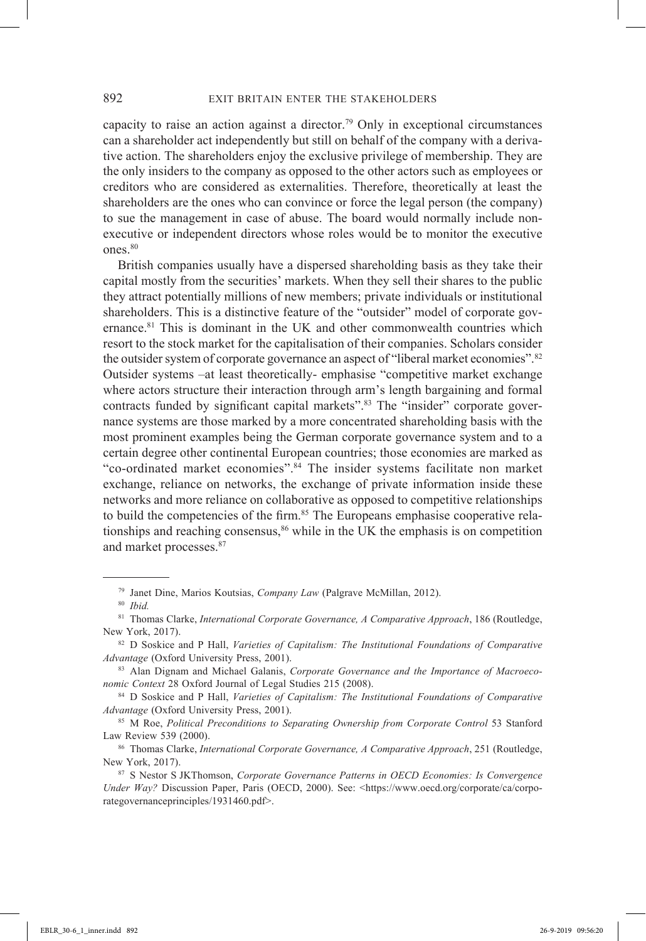capacity to raise an action against a director.<sup>79</sup> Only in exceptional circumstances can a shareholder act independently but still on behalf of the company with a derivative action. The shareholders enjoy the exclusive privilege of membership. They are the only insiders to the company as opposed to the other actors such as employees or creditors who are considered as externalities. Therefore, theoretically at least the shareholders are the ones who can convince or force the legal person (the company) to sue the management in case of abuse. The board would normally include nonexecutive or independent directors whose roles would be to monitor the executive ones.<sup>80</sup>

British companies usually have a dispersed shareholding basis as they take their capital mostly from the securities' markets. When they sell their shares to the public they attract potentially millions of new members; private individuals or institutional shareholders. This is a distinctive feature of the "outsider" model of corporate governance.<sup>81</sup> This is dominant in the UK and other commonwealth countries which resort to the stock market for the capitalisation of their companies. Scholars consider the outsider system of corporate governance an aspect of "liberal market economies".<sup>82</sup> Outsider systems –at least theoretically- emphasise "competitive market exchange where actors structure their interaction through arm's length bargaining and formal contracts funded by significant capital markets".<sup>83</sup> The "insider" corporate governance systems are those marked by a more concentrated shareholding basis with the most prominent examples being the German corporate governance system and to a certain degree other continental European countries; those economies are marked as "co-ordinated market economies".84 The insider systems facilitate non market exchange, reliance on networks, the exchange of private information inside these networks and more reliance on collaborative as opposed to competitive relationships to build the competencies of the firm.<sup>85</sup> The Europeans emphasise cooperative relationships and reaching consensus,  $86$  while in the UK the emphasis is on competition and market processes.<sup>87</sup>

<sup>79</sup> Janet Dine, Marios Koutsias, *Company Law* (Palgrave McMillan, 2012).

<sup>80</sup> *Ibid.*

<sup>81</sup> Thomas Clarke, *International Corporate Governance, A Comparative Approach*, 186 (Routledge, New York, 2017).

<sup>82</sup> D Soskice and P Hall, *Varieties of Capitalism: The Institutional Foundations of Comparative Advantage* (Oxford University Press, 2001).

<sup>83</sup> Alan Dignam and Michael Galanis, *Corporate Governance and the Importance of Macroeconomic Context* 28 Oxford Journal of Legal Studies 215 (2008).

<sup>84</sup> D Soskice and P Hall, *Varieties of Capitalism: The Institutional Foundations of Comparative Advantage* (Oxford University Press, 2001).

<sup>85</sup> M Roe, *Political Preconditions to Separating Ownership from Corporate Control* 53 Stanford Law Review 539 (2000).

<sup>86</sup> Thomas Clarke, *International Corporate Governance, A Comparative Approach*, 251 (Routledge, New York, 2017).

<sup>87</sup> S Nestor S JKThomson, *Corporate Governance Patterns in OECD Economies: Is Convergence Under Way?* Discussion Paper, Paris (OECD, 2000). See: <https://www.oecd.org/corporate/ca/corporategovernanceprinciples/1931460.pdf>.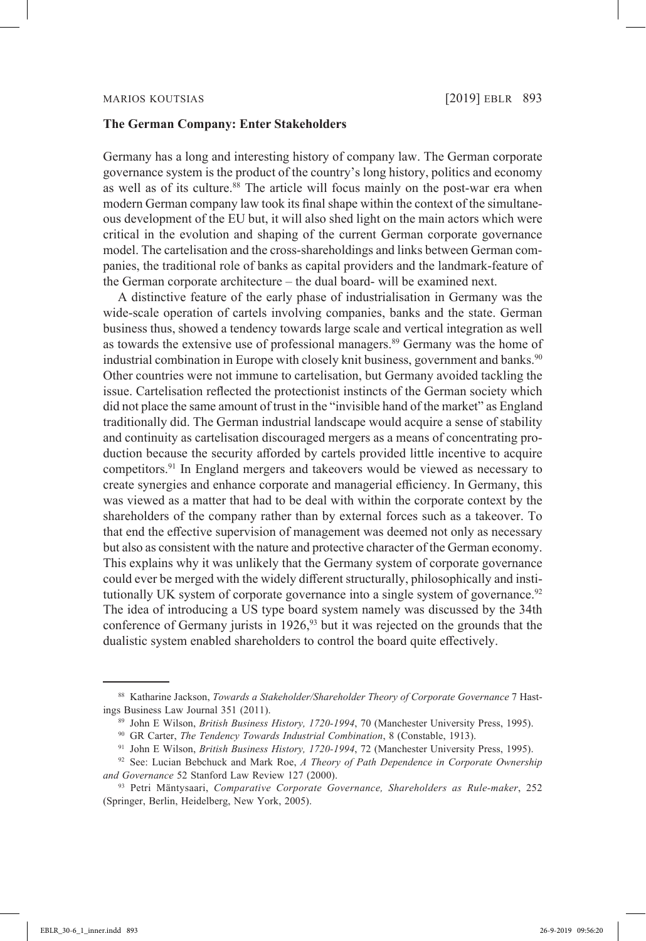## **The German Company: Enter Stakeholders**

Germany has a long and interesting history of company law. The German corporate governance system is the product of the country's long history, politics and economy as well as of its culture.<sup>88</sup> The article will focus mainly on the post-war era when modern German company law took its final shape within the context of the simultaneous development of the EU but, it will also shed light on the main actors which were critical in the evolution and shaping of the current German corporate governance model. The cartelisation and the cross-shareholdings and links between German companies, the traditional role of banks as capital providers and the landmark-feature of the German corporate architecture – the dual board- will be examined next.

A distinctive feature of the early phase of industrialisation in Germany was the wide-scale operation of cartels involving companies, banks and the state. German business thus, showed a tendency towards large scale and vertical integration as well as towards the extensive use of professional managers.<sup>89</sup> Germany was the home of industrial combination in Europe with closely knit business, government and banks.<sup>90</sup> Other countries were not immune to cartelisation, but Germany avoided tackling the issue. Cartelisation reflected the protectionist instincts of the German society which did not place the same amount of trust in the "invisible hand of the market" as England traditionally did. The German industrial landscape would acquire a sense of stability and continuity as cartelisation discouraged mergers as a means of concentrating production because the security afforded by cartels provided little incentive to acquire competitors.91 In England mergers and takeovers would be viewed as necessary to create synergies and enhance corporate and managerial efficiency. In Germany, this was viewed as a matter that had to be deal with within the corporate context by the shareholders of the company rather than by external forces such as a takeover. To that end the effective supervision of management was deemed not only as necessary but also as consistent with the nature and protective character of the German economy. This explains why it was unlikely that the Germany system of corporate governance could ever be merged with the widely different structurally, philosophically and institutionally UK system of corporate governance into a single system of governance.<sup>92</sup> The idea of introducing a US type board system namely was discussed by the 34th conference of Germany jurists in  $1926$ ,<sup>93</sup> but it was rejected on the grounds that the dualistic system enabled shareholders to control the board quite effectively.

<sup>88</sup> Katharine Jackson, *Towards a Stakeholder/Shareholder Theory of Corporate Governance* 7 Hastings Business Law Journal 351 (2011).

<sup>89</sup> John E Wilson, *British Business History, 1720-1994*, 70 (Manchester University Press, 1995).

<sup>90</sup> GR Carter, *The Tendency Towards Industrial Combination*, 8 (Constable, 1913). 91 John E Wilson, *British Business History, 1720-1994*, 72 (Manchester University Press, 1995).

<sup>92</sup> See: Lucian Bebchuck and Mark Roe, *A Theory of Path Dependence in Corporate Ownership and Governance* 52 Stanford Law Review 127 (2000).

<sup>93</sup> Petri Mäntysaari, *Comparative Corporate Governance, Shareholders as Rule-maker*, 252 (Springer, Berlin, Heidelberg, New York, 2005).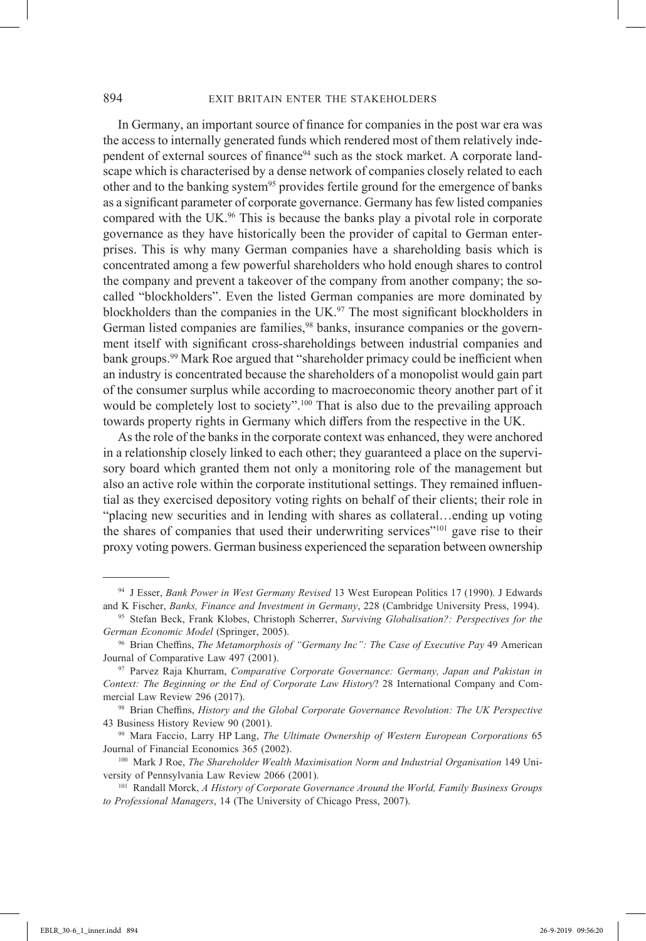In Germany, an important source of finance for companies in the post war era was the access to internally generated funds which rendered most of them relatively independent of external sources of finance<sup>94</sup> such as the stock market. A corporate landscape which is characterised by a dense network of companies closely related to each other and to the banking system<sup>95</sup> provides fertile ground for the emergence of banks as a significant parameter of corporate governance. Germany has few listed companies compared with the UK.96 This is because the banks play a pivotal role in corporate governance as they have historically been the provider of capital to German enterprises. This is why many German companies have a shareholding basis which is concentrated among a few powerful shareholders who hold enough shares to control the company and prevent a takeover of the company from another company; the socalled "blockholders". Even the listed German companies are more dominated by blockholders than the companies in the UK.<sup>97</sup> The most significant blockholders in German listed companies are families,<sup>98</sup> banks, insurance companies or the government itself with significant cross-shareholdings between industrial companies and bank groups.<sup>99</sup> Mark Roe argued that "shareholder primacy could be inefficient when an industry is concentrated because the shareholders of a monopolist would gain part of the consumer surplus while according to macroeconomic theory another part of it would be completely lost to society".<sup>100</sup> That is also due to the prevailing approach towards property rights in Germany which differs from the respective in the UK.

As the role of the banks in the corporate context was enhanced, they were anchored in a relationship closely linked to each other; they guaranteed a place on the supervisory board which granted them not only a monitoring role of the management but also an active role within the corporate institutional settings. They remained influential as they exercised depository voting rights on behalf of their clients; their role in "placing new securities and in lending with shares as collateral…ending up voting the shares of companies that used their underwriting services"<sup>101</sup> gave rise to their proxy voting powers. German business experienced the separation between ownership

<sup>94</sup> J Esser, *Bank Power in West Germany Revised* 13 West European Politics 17 (1990). J Edwards and K Fischer, *Banks, Finance and Investment in Germany*, 228 (Cambridge University Press, 1994).

<sup>95</sup> Stefan Beck, Frank Klobes, Christoph Scherrer, *Surviving Globalisation?: Perspectives for the German Economic Model* (Springer, 2005).

<sup>96</sup> Brian Cheffins, *The Metamorphosis of "Germany Inc": The Case of Executive Pay* 49 American Journal of Comparative Law 497 (2001).

<sup>97</sup> Parvez Raja Khurram, *Comparative Corporate Governance: Germany, Japan and Pakistan in Context: The Beginning or the End of Corporate Law History*? 28 International Company and Commercial Law Review 296 (2017).

<sup>98</sup> Brian Cheffins, *History and the Global Corporate Governance Revolution: The UK Perspective* 43 Business History Review 90 (2001).

<sup>99</sup> Mara Faccio, Larry HP Lang, *The Ultimate Ownership of Western European Corporations* 65 Journal of Financial Economics 365 (2002).

<sup>100</sup> Mark J Roe, *The Shareholder Wealth Maximisation Norm and Industrial Organisation* 149 University of Pennsylvania Law Review 2066 (2001). 101 Randall Morck, *A History of Corporate Governance Around the World, Family Business Groups* 

*to Professional Managers*, 14 (The University of Chicago Press, 2007).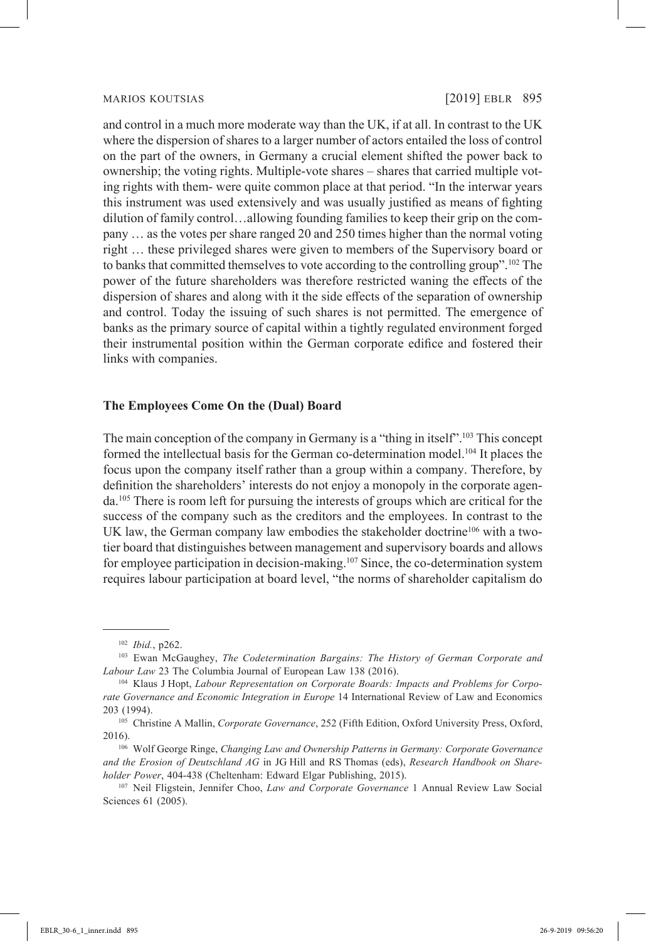and control in a much more moderate way than the UK, if at all. In contrast to the UK where the dispersion of shares to a larger number of actors entailed the loss of control on the part of the owners, in Germany a crucial element shifted the power back to ownership; the voting rights. Multiple-vote shares – shares that carried multiple voting rights with them- were quite common place at that period. "In the interwar years this instrument was used extensively and was usually justified as means of fighting dilution of family control…allowing founding families to keep their grip on the company … as the votes per share ranged 20 and 250 times higher than the normal voting right … these privileged shares were given to members of the Supervisory board or to banks that committed themselves to vote according to the controlling group".<sup>102</sup> The power of the future shareholders was therefore restricted waning the effects of the dispersion of shares and along with it the side effects of the separation of ownership and control. Today the issuing of such shares is not permitted. The emergence of banks as the primary source of capital within a tightly regulated environment forged their instrumental position within the German corporate edifice and fostered their links with companies.

## **The Employees Come On the (Dual) Board**

The main conception of the company in Germany is a "thing in itself".<sup>103</sup> This concept formed the intellectual basis for the German co-determination model.<sup>104</sup> It places the focus upon the company itself rather than a group within a company. Therefore, by definition the shareholders' interests do not enjoy a monopoly in the corporate agenda.105 There is room left for pursuing the interests of groups which are critical for the success of the company such as the creditors and the employees. In contrast to the UK law, the German company law embodies the stakeholder doctrine<sup>106</sup> with a twotier board that distinguishes between management and supervisory boards and allows for employee participation in decision-making.<sup>107</sup> Since, the co-determination system requires labour participation at board level, "the norms of shareholder capitalism do

<sup>&</sup>lt;sup>102</sup> *Ibid.*, p262.<br><sup>103</sup> Ewan McGaughey, *The Codetermination Bargains: The History of German Corporate and Labour Law* 23 The Columbia Journal of European Law 138 (2016).

<sup>104</sup> Klaus J Hopt, *Labour Representation on Corporate Boards: Impacts and Problems for Corporate Governance and Economic Integration in Europe* 14 International Review of Law and Economics 203 (1994).

<sup>105</sup> Christine A Mallin, *Corporate Governance*, 252 (Fifth Edition, Oxford University Press, Oxford, 2016).

<sup>106</sup> Wolf George Ringe, *Changing Law and Ownership Patterns in Germany: Corporate Governance and the Erosion of Deutschland AG* in JG Hill and RS Thomas (eds), *Research Handbook on Shareholder Power*, 404-438 (Cheltenham: Edward Elgar Publishing, 2015).

<sup>107</sup> Neil Fligstein, Jennifer Choo, *Law and Corporate Governance* 1 Annual Review Law Social Sciences 61 (2005).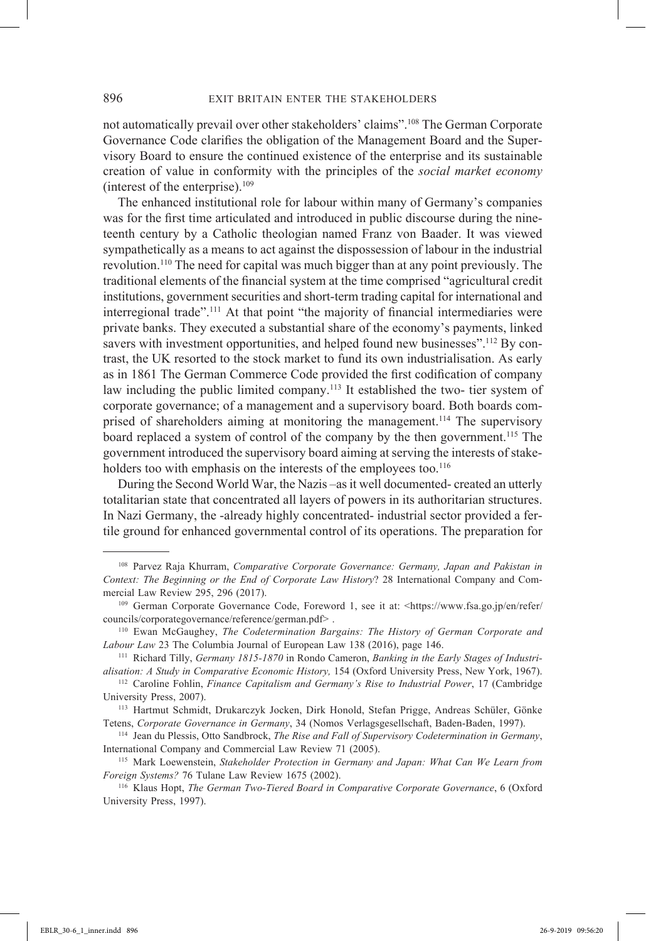not automatically prevail over other stakeholders' claims".108 The German Corporate Governance Code clarifies the obligation of the Management Board and the Supervisory Board to ensure the continued existence of the enterprise and its sustainable creation of value in conformity with the principles of the *social market economy* (interest of the enterprise). $109$ 

The enhanced institutional role for labour within many of Germany's companies was for the first time articulated and introduced in public discourse during the nineteenth century by a Catholic theologian named Franz von Baader. It was viewed sympathetically as a means to act against the dispossession of labour in the industrial revolution.110 The need for capital was much bigger than at any point previously. The traditional elements of the financial system at the time comprised "agricultural credit institutions, government securities and short-term trading capital for international and interregional trade".<sup>111</sup> At that point "the majority of financial intermediaries were private banks. They executed a substantial share of the economy's payments, linked savers with investment opportunities, and helped found new businesses".<sup>112</sup> By contrast, the UK resorted to the stock market to fund its own industrialisation. As early as in 1861 The German Commerce Code provided the first codification of company law including the public limited company.<sup>113</sup> It established the two- tier system of corporate governance; of a management and a supervisory board. Both boards comprised of shareholders aiming at monitoring the management.114 The supervisory board replaced a system of control of the company by the then government.<sup>115</sup> The government introduced the supervisory board aiming at serving the interests of stakeholders too with emphasis on the interests of the employees too.<sup>116</sup>

During the Second World War, the Nazis –as it well documented- created an utterly totalitarian state that concentrated all layers of powers in its authoritarian structures. In Nazi Germany, the -already highly concentrated- industrial sector provided a fertile ground for enhanced governmental control of its operations. The preparation for

<sup>108</sup> Parvez Raja Khurram, *Comparative Corporate Governance: Germany, Japan and Pakistan in Context: The Beginning or the End of Corporate Law History*? 28 International Company and Commercial Law Review 295, 296 (2017).

<sup>109</sup> German Corporate Governance Code, Foreword 1, see it at: <https://www.fsa.go.jp/en/refer/ councils/corporategovernance/reference/german.pdf> .

<sup>110</sup> Ewan McGaughey, *The Codetermination Bargains: The History of German Corporate and Labour Law* 23 The Columbia Journal of European Law 138 (2016), page 146.

<sup>111</sup> Richard Tilly, *Germany 1815-1870* in Rondo Cameron, *Banking in the Early Stages of Industrialisation: A Study in Comparative Economic History,* 154 (Oxford University Press, New York, 1967).

<sup>112</sup> Caroline Fohlin, *Finance Capitalism and Germany's Rise to Industrial Power*, 17 (Cambridge University Press, 2007).

<sup>113</sup> Hartmut Schmidt, Drukarczyk Jocken, Dirk Honold, Stefan Prigge, Andreas Schüler, Gönke Tetens, *Corporate Governance in Germany*, 34 (Nomos Verlagsgesellschaft, Baden-Baden, 1997).

<sup>114</sup> Jean du Plessis, Otto Sandbrock, *The Rise and Fall of Supervisory Codetermination in Germany*, International Company and Commercial Law Review 71 (2005). 115 Mark Loewenstein, *Stakeholder Protection in Germany and Japan: What Can We Learn from* 

*Foreign Systems?* 76 Tulane Law Review 1675 (2002).

<sup>116</sup> Klaus Hopt, *The German Two-Tiered Board in Comparative Corporate Governance*, 6 (Oxford University Press, 1997).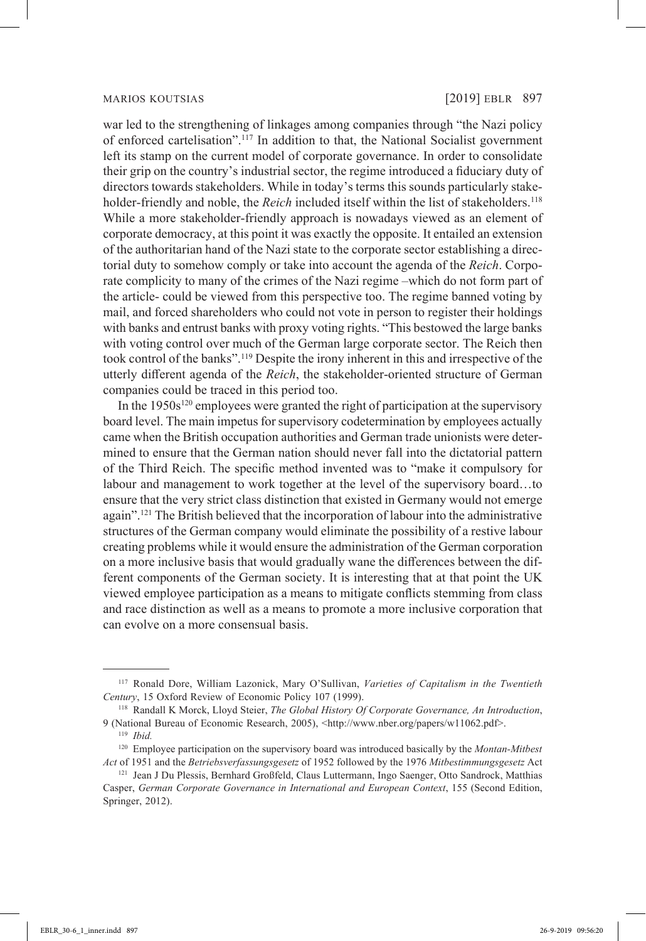war led to the strengthening of linkages among companies through "the Nazi policy of enforced cartelisation".117 In addition to that, the National Socialist government left its stamp on the current model of corporate governance. In order to consolidate their grip on the country's industrial sector, the regime introduced a fiduciary duty of directors towards stakeholders. While in today's terms this sounds particularly stakeholder-friendly and noble, the *Reich* included itself within the list of stakeholders.<sup>118</sup> While a more stakeholder-friendly approach is nowadays viewed as an element of corporate democracy, at this point it was exactly the opposite. It entailed an extension of the authoritarian hand of the Nazi state to the corporate sector establishing a directorial duty to somehow comply or take into account the agenda of the *Reich*. Corporate complicity to many of the crimes of the Nazi regime –which do not form part of the article- could be viewed from this perspective too. The regime banned voting by mail, and forced shareholders who could not vote in person to register their holdings with banks and entrust banks with proxy voting rights. "This bestowed the large banks with voting control over much of the German large corporate sector. The Reich then took control of the banks".119 Despite the irony inherent in this and irrespective of the utterly different agenda of the *Reich*, the stakeholder-oriented structure of German companies could be traced in this period too.

In the  $1950s^{120}$  employees were granted the right of participation at the supervisory board level. The main impetus for supervisory codetermination by employees actually came when the British occupation authorities and German trade unionists were determined to ensure that the German nation should never fall into the dictatorial pattern of the Third Reich. The specific method invented was to "make it compulsory for labour and management to work together at the level of the supervisory board…to ensure that the very strict class distinction that existed in Germany would not emerge again".121 The British believed that the incorporation of labour into the administrative structures of the German company would eliminate the possibility of a restive labour creating problems while it would ensure the administration of the German corporation on a more inclusive basis that would gradually wane the differences between the different components of the German society. It is interesting that at that point the UK viewed employee participation as a means to mitigate conflicts stemming from class and race distinction as well as a means to promote a more inclusive corporation that can evolve on a more consensual basis.

<sup>117</sup> Ronald Dore, William Lazonick, Mary O'Sullivan, *Varieties of Capitalism in the Twentieth Century*, 15 Oxford Review of Economic Policy 107 (1999).

<sup>118</sup> Randall K Morck, Lloyd Steier, *The Global History Of Corporate Governance, An Introduction*, 9 (National Bureau of Economic Research, 2005), <http://www.nber.org/papers/w11062.pdf>.

<sup>119</sup> *Ibid.*

<sup>120</sup> Employee participation on the supervisory board was introduced basically by the *Montan-Mitbest Act* of 1951 and the *Betriebsverfassungsgesetz* of 1952 followed by the 1976 *Mitbestimmungsgesetz* Act

<sup>&</sup>lt;sup>121</sup> Jean J Du Plessis, Bernhard Großfeld, Claus Luttermann, Ingo Saenger, Otto Sandrock, Matthias Casper, *German Corporate Governance in International and European Context*, 155 (Second Edition, Springer, 2012).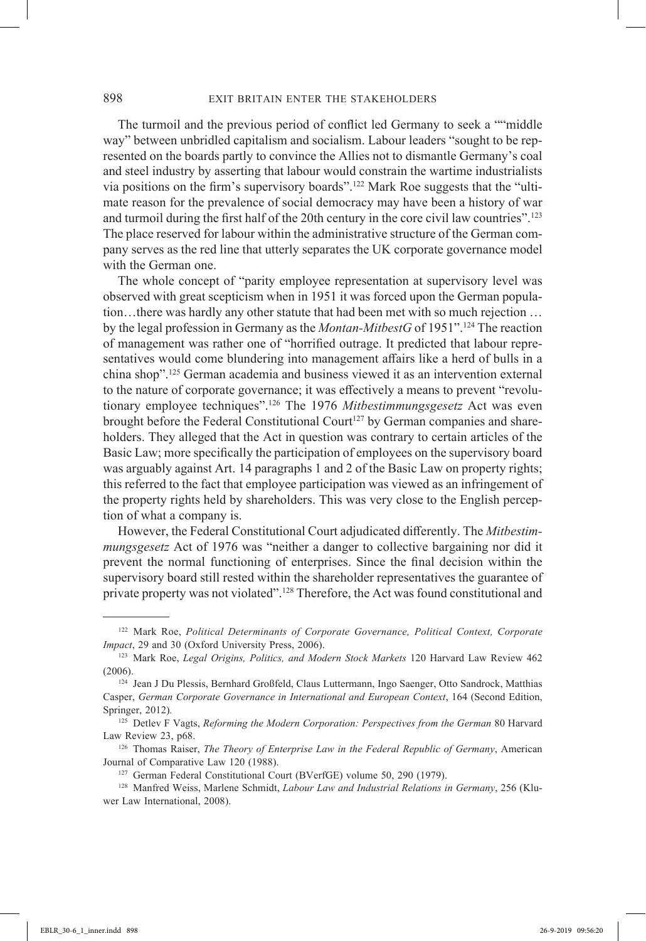The turmoil and the previous period of conflict led Germany to seek a ""middle way" between unbridled capitalism and socialism. Labour leaders "sought to be represented on the boards partly to convince the Allies not to dismantle Germany's coal and steel industry by asserting that labour would constrain the wartime industrialists via positions on the firm's supervisory boards".122 Mark Roe suggests that the "ultimate reason for the prevalence of social democracy may have been a history of war and turmoil during the first half of the 20th century in the core civil law countries".<sup>123</sup> The place reserved for labour within the administrative structure of the German company serves as the red line that utterly separates the UK corporate governance model with the German one.

The whole concept of "parity employee representation at supervisory level was observed with great scepticism when in 1951 it was forced upon the German population…there was hardly any other statute that had been met with so much rejection … by the legal profession in Germany as the *Montan-MitbestG* of 1951".124 The reaction of management was rather one of "horrified outrage. It predicted that labour representatives would come blundering into management affairs like a herd of bulls in a china shop".125 German academia and business viewed it as an intervention external to the nature of corporate governance; it was effectively a means to prevent "revolutionary employee techniques".126 The 1976 *Mitbestimmungsgesetz* Act was even brought before the Federal Constitutional Court<sup>127</sup> by German companies and shareholders. They alleged that the Act in question was contrary to certain articles of the Basic Law; more specifically the participation of employees on the supervisory board was arguably against Art. 14 paragraphs 1 and 2 of the Basic Law on property rights; this referred to the fact that employee participation was viewed as an infringement of the property rights held by shareholders. This was very close to the English perception of what a company is.

However, the Federal Constitutional Court adjudicated differently. The *Mitbestimmungsgesetz* Act of 1976 was "neither a danger to collective bargaining nor did it prevent the normal functioning of enterprises. Since the final decision within the supervisory board still rested within the shareholder representatives the guarantee of private property was not violated".128 Therefore, the Act was found constitutional and

<sup>122</sup> Mark Roe, *Political Determinants of Corporate Governance, Political Context, Corporate Impact*, 29 and 30 (Oxford University Press, 2006).

<sup>123</sup> Mark Roe, *Legal Origins, Politics, and Modern Stock Markets* 120 Harvard Law Review 462 (2006).

<sup>124</sup> Jean J Du Plessis, Bernhard Großfeld, Claus Luttermann, Ingo Saenger, Otto Sandrock, Matthias Casper, *German Corporate Governance in International and European Context*, 164 (Second Edition, Springer, 2012)*.*

<sup>125</sup> Detlev F Vagts, *Reforming the Modern Corporation: Perspectives from the German* 80 Harvard Law Review 23, p68.

<sup>126</sup> Thomas Raiser, *The Theory of Enterprise Law in the Federal Republic of Germany*, American Journal of Comparative Law 120 (1988).

<sup>&</sup>lt;sup>127</sup> German Federal Constitutional Court (BVerfGE) volume 50, 290 (1979).

<sup>128</sup> Manfred Weiss, Marlene Schmidt, *Labour Law and Industrial Relations in Germany*, 256 (Kluwer Law International, 2008).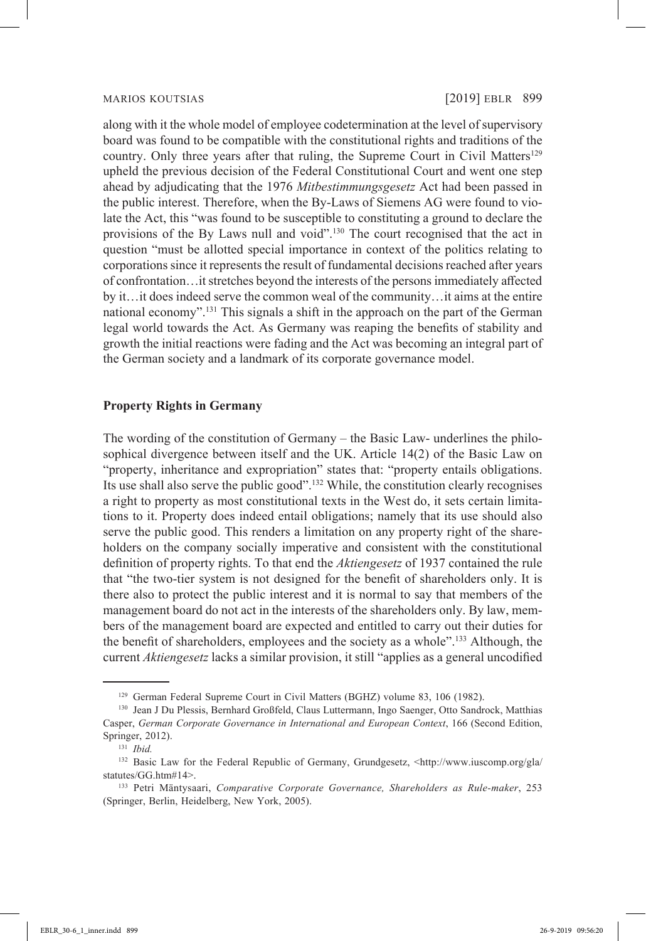along with it the whole model of employee codetermination at the level of supervisory board was found to be compatible with the constitutional rights and traditions of the country. Only three years after that ruling, the Supreme Court in Civil Matters<sup>129</sup> upheld the previous decision of the Federal Constitutional Court and went one step ahead by adjudicating that the 1976 *Mitbestimmungsgesetz* Act had been passed in the public interest. Therefore, when the By-Laws of Siemens AG were found to violate the Act, this "was found to be susceptible to constituting a ground to declare the provisions of the By Laws null and void".130 The court recognised that the act in question "must be allotted special importance in context of the politics relating to corporations since it represents the result of fundamental decisions reached after years of confrontation…it stretches beyond the interests of the persons immediately affected by it…it does indeed serve the common weal of the community…it aims at the entire national economy".<sup>131</sup> This signals a shift in the approach on the part of the German legal world towards the Act. As Germany was reaping the benefits of stability and growth the initial reactions were fading and the Act was becoming an integral part of the German society and a landmark of its corporate governance model.

## **Property Rights in Germany**

The wording of the constitution of Germany – the Basic Law- underlines the philosophical divergence between itself and the UK. Article 14(2) of the Basic Law on "property, inheritance and expropriation" states that: "property entails obligations. Its use shall also serve the public good".132 While, the constitution clearly recognises a right to property as most constitutional texts in the West do, it sets certain limitations to it. Property does indeed entail obligations; namely that its use should also serve the public good. This renders a limitation on any property right of the shareholders on the company socially imperative and consistent with the constitutional definition of property rights. To that end the *Aktiengesetz* of 1937 contained the rule that "the two-tier system is not designed for the benefit of shareholders only. It is there also to protect the public interest and it is normal to say that members of the management board do not act in the interests of the shareholders only. By law, members of the management board are expected and entitled to carry out their duties for the benefit of shareholders, employees and the society as a whole".<sup>133</sup> Although, the current *Aktiengesetz* lacks a similar provision, it still "applies as a general uncodified

<sup>&</sup>lt;sup>129</sup> German Federal Supreme Court in Civil Matters (BGHZ) volume 83, 106 (1982).

<sup>130</sup> Jean J Du Plessis, Bernhard Großfeld, Claus Luttermann, Ingo Saenger, Otto Sandrock, Matthias Casper, *German Corporate Governance in International and European Context*, 166 (Second Edition, Springer, 2012).

<sup>131</sup> *Ibid.*

<sup>132</sup> Basic Law for the Federal Republic of Germany, Grundgesetz, <http://www.iuscomp.org/gla/ statutes/GG.htm#14>.

<sup>133</sup> Petri Mäntysaari, *Comparative Corporate Governance, Shareholders as Rule-maker*, 253 (Springer, Berlin, Heidelberg, New York, 2005).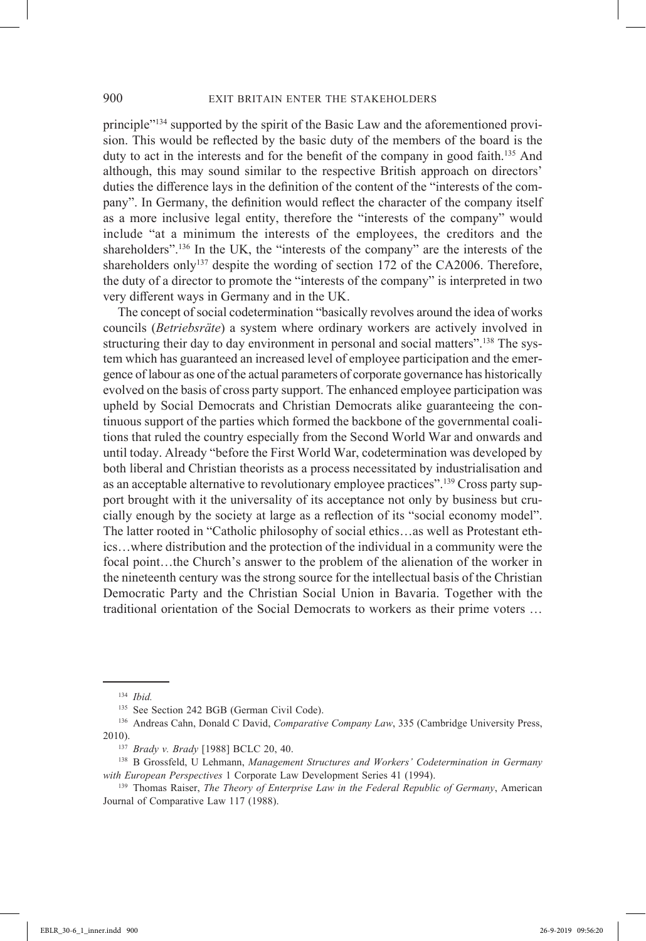principle"134 supported by the spirit of the Basic Law and the aforementioned provision. This would be reflected by the basic duty of the members of the board is the duty to act in the interests and for the benefit of the company in good faith.<sup>135</sup> And although, this may sound similar to the respective British approach on directors' duties the difference lays in the definition of the content of the "interests of the company". In Germany, the definition would reflect the character of the company itself as a more inclusive legal entity, therefore the "interests of the company" would include "at a minimum the interests of the employees, the creditors and the shareholders".<sup>136</sup> In the UK, the "interests of the company" are the interests of the shareholders only<sup>137</sup> despite the wording of section 172 of the CA2006. Therefore, the duty of a director to promote the "interests of the company" is interpreted in two very different ways in Germany and in the UK.

The concept of social codetermination "basically revolves around the idea of works councils (*Betriebsräte*) a system where ordinary workers are actively involved in structuring their day to day environment in personal and social matters".<sup>138</sup> The system which has guaranteed an increased level of employee participation and the emergence of labour as one of the actual parameters of corporate governance has historically evolved on the basis of cross party support. The enhanced employee participation was upheld by Social Democrats and Christian Democrats alike guaranteeing the continuous support of the parties which formed the backbone of the governmental coalitions that ruled the country especially from the Second World War and onwards and until today. Already "before the First World War, codetermination was developed by both liberal and Christian theorists as a process necessitated by industrialisation and as an acceptable alternative to revolutionary employee practices".<sup>139</sup> Cross party support brought with it the universality of its acceptance not only by business but crucially enough by the society at large as a reflection of its "social economy model". The latter rooted in "Catholic philosophy of social ethics…as well as Protestant ethics…where distribution and the protection of the individual in a community were the focal point…the Church's answer to the problem of the alienation of the worker in the nineteenth century was the strong source for the intellectual basis of the Christian Democratic Party and the Christian Social Union in Bavaria. Together with the traditional orientation of the Social Democrats to workers as their prime voters …

<sup>134</sup> *Ibid.*

<sup>&</sup>lt;sup>135</sup> See Section 242 BGB (German Civil Code).

<sup>136</sup> Andreas Cahn, Donald C David, *Comparative Company Law*, 335 (Cambridge University Press, 2010).

<sup>137</sup> *Brady v. Brady* [1988] BCLC 20, 40.

<sup>138</sup> B Grossfeld, U Lehmann, *Management Structures and Workers' Codetermination in Germany with European Perspectives* 1 Corporate Law Development Series 41 (1994).

<sup>139</sup> Thomas Raiser, *The Theory of Enterprise Law in the Federal Republic of Germany*, American Journal of Comparative Law 117 (1988).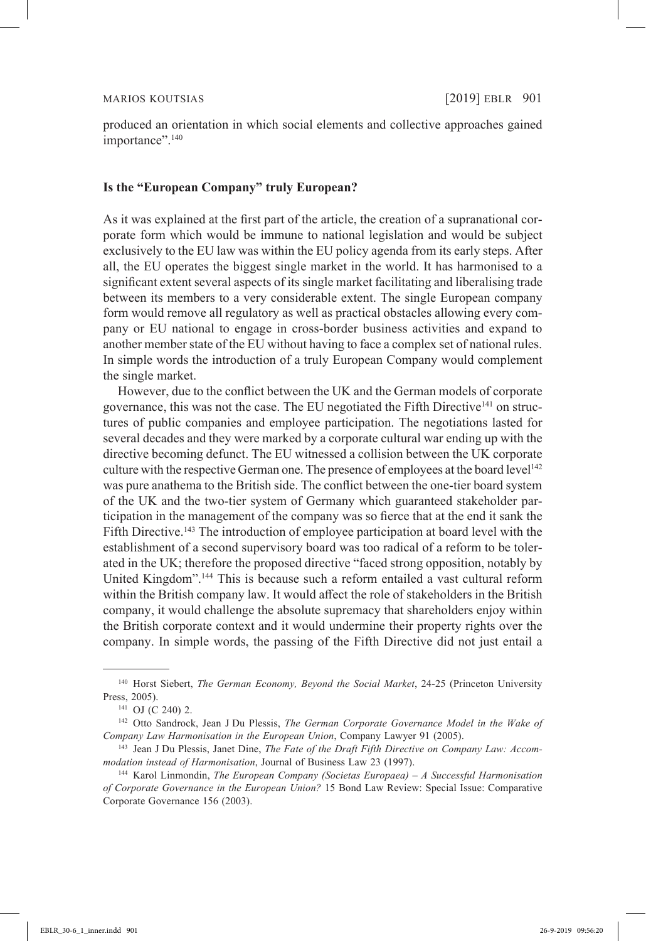produced an orientation in which social elements and collective approaches gained importance".<sup>140</sup>

### **Is the "European Company" truly European?**

As it was explained at the first part of the article, the creation of a supranational corporate form which would be immune to national legislation and would be subject exclusively to the EU law was within the EU policy agenda from its early steps. After all, the EU operates the biggest single market in the world. It has harmonised to a significant extent several aspects of its single market facilitating and liberalising trade between its members to a very considerable extent. The single European company form would remove all regulatory as well as practical obstacles allowing every company or EU national to engage in cross-border business activities and expand to another member state of the EU without having to face a complex set of national rules. In simple words the introduction of a truly European Company would complement the single market.

However, due to the conflict between the UK and the German models of corporate governance, this was not the case. The EU negotiated the Fifth Directive<sup>141</sup> on structures of public companies and employee participation. The negotiations lasted for several decades and they were marked by a corporate cultural war ending up with the directive becoming defunct. The EU witnessed a collision between the UK corporate culture with the respective German one. The presence of employees at the board level<sup>142</sup> was pure anathema to the British side. The conflict between the one-tier board system of the UK and the two-tier system of Germany which guaranteed stakeholder participation in the management of the company was so fierce that at the end it sank the Fifth Directive.<sup>143</sup> The introduction of employee participation at board level with the establishment of a second supervisory board was too radical of a reform to be tolerated in the UK; therefore the proposed directive "faced strong opposition, notably by United Kingdom".144 This is because such a reform entailed a vast cultural reform within the British company law. It would affect the role of stakeholders in the British company, it would challenge the absolute supremacy that shareholders enjoy within the British corporate context and it would undermine their property rights over the company. In simple words, the passing of the Fifth Directive did not just entail a

<sup>140</sup> Horst Siebert, *The German Economy, Beyond the Social Market*, 24-25 (Princeton University Press, 2005).

<sup>141</sup> OJ (C 240) 2.

<sup>142</sup> Otto Sandrock, Jean J Du Plessis, *The German Corporate Governance Model in the Wake of Company Law Harmonisation in the European Union*, Company Lawyer 91 (2005). 143 Jean J Du Plessis, Janet Dine, *The Fate of the Draft Fifth Directive on Company Law: Accom-*

*modation instead of Harmonisation*, Journal of Business Law 23 (1997).

<sup>144</sup> Karol Linmondin, *The European Company (Societas Europaea) – A Successful Harmonisation of Corporate Governance in the European Union?* 15 Bond Law Review: Special Issue: Comparative Corporate Governance 156 (2003).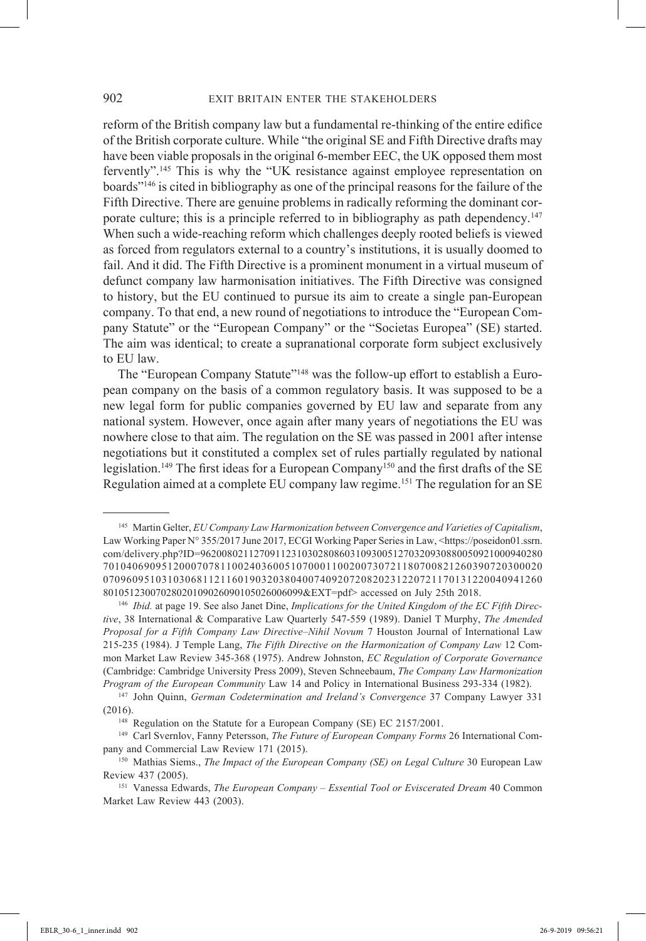reform of the British company law but a fundamental re-thinking of the entire edifice of the British corporate culture. While "the original SE and Fifth Directive drafts may have been viable proposals in the original 6-member EEC, the UK opposed them most fervently".145 This is why the "UK resistance against employee representation on boards"146 is cited in bibliography as one of the principal reasons for the failure of the Fifth Directive. There are genuine problems in radically reforming the dominant corporate culture; this is a principle referred to in bibliography as path dependency.<sup>147</sup> When such a wide-reaching reform which challenges deeply rooted beliefs is viewed as forced from regulators external to a country's institutions, it is usually doomed to fail. And it did. The Fifth Directive is a prominent monument in a virtual museum of defunct company law harmonisation initiatives. The Fifth Directive was consigned to history, but the EU continued to pursue its aim to create a single pan-European company. To that end, a new round of negotiations to introduce the "European Company Statute" or the "European Company" or the "Societas Europea" (SE) started. The aim was identical; to create a supranational corporate form subject exclusively to EU law.

The "European Company Statute"<sup>148</sup> was the follow-up effort to establish a European company on the basis of a common regulatory basis. It was supposed to be a new legal form for public companies governed by EU law and separate from any national system. However, once again after many years of negotiations the EU was nowhere close to that aim. The regulation on the SE was passed in 2001 after intense negotiations but it constituted a complex set of rules partially regulated by national legislation.<sup>149</sup> The first ideas for a European Company<sup>150</sup> and the first drafts of the SE Regulation aimed at a complete EU company law regime.<sup>151</sup> The regulation for an SE

<sup>145</sup> Martin Gelter, *EU Company Law Harmonization between Convergence and Varieties of Capitalism*, Law Working Paper N° 355/2017 June 2017, ECGI Working Paper Series in Law, <https://poseidon01.ssrn. com/delivery.php?ID=9620080211270911231030280860310930051270320930880050921000940280 701040690951200070781100240360051070001100200730721180700821260390720300020 070960951031030681121160190320380400740920720820231220721170131220040941260 80105123007028020109026090105026006099&EXT=pdf> accessed on July 25th 2018.

<sup>146</sup> *Ibid.* at page 19. See also Janet Dine, *Implications for the United Kingdom of the EC Fifth Directive*, 38 International & Comparative Law Quarterly 547-559 (1989). Daniel T Murphy, *The Amended Proposal for a Fifth Company Law Directive–Nihil Novum* 7 Houston Journal of International Law 215-235 (1984). J Temple Lang, *The Fifth Directive on the Harmonization of Company Law* 12 Common Market Law Review 345-368 (1975). Andrew Johnston, *EC Regulation of Corporate Governance* (Cambridge: Cambridge University Press 2009), Steven Schneebaum, *The Company Law Harmonization Program of the European Community* Law 14 and Policy in International Business 293-334 (1982).

<sup>147</sup> John Quinn, *German Codetermination and Ireland's Convergence* 37 Company Lawyer 331 (2016).

<sup>&</sup>lt;sup>148</sup> Regulation on the Statute for a European Company (SE) EC 2157/2001.

<sup>149</sup> Carl Svernlov, Fanny Petersson, *The Future of European Company Forms* 26 International Company and Commercial Law Review 171 (2015).

<sup>&</sup>lt;sup>150</sup> Mathias Siems., *The Impact of the European Company (SE) on Legal Culture* 30 European Law Review 437 (2005).

<sup>151</sup> Vanessa Edwards, *The European Company – Essential Tool or Eviscerated Dream* 40 Common Market Law Review 443 (2003).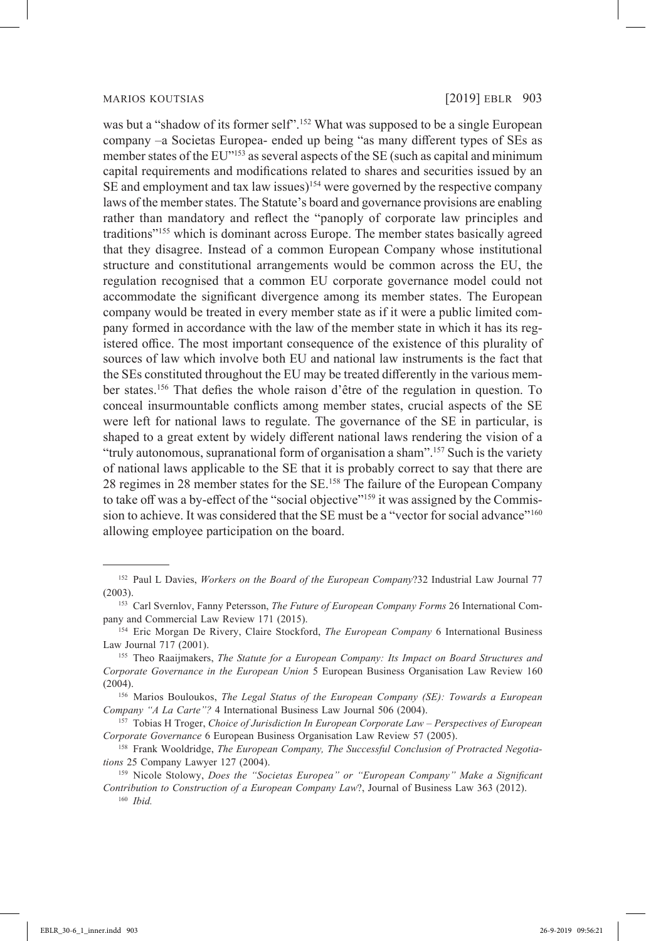was but a "shadow of its former self".<sup>152</sup> What was supposed to be a single European company –a Societas Europea- ended up being "as many different types of SEs as member states of the EU"153 as several aspects of the SE (such as capital and minimum capital requirements and modifications related to shares and securities issued by an SE and employment and tax law issues)<sup>154</sup> were governed by the respective company laws of the member states. The Statute's board and governance provisions are enabling rather than mandatory and reflect the "panoply of corporate law principles and traditions"155 which is dominant across Europe. The member states basically agreed that they disagree. Instead of a common European Company whose institutional structure and constitutional arrangements would be common across the EU, the regulation recognised that a common EU corporate governance model could not accommodate the significant divergence among its member states. The European company would be treated in every member state as if it were a public limited company formed in accordance with the law of the member state in which it has its registered office. The most important consequence of the existence of this plurality of sources of law which involve both EU and national law instruments is the fact that the SEs constituted throughout the EU may be treated differently in the various member states.156 That defies the whole raison d'être of the regulation in question. To conceal insurmountable conflicts among member states, crucial aspects of the SE were left for national laws to regulate. The governance of the SE in particular, is shaped to a great extent by widely different national laws rendering the vision of a "truly autonomous, supranational form of organisation a sham".157 Such is the variety of national laws applicable to the SE that it is probably correct to say that there are 28 regimes in 28 member states for the SE.158 The failure of the European Company to take off was a by-effect of the "social objective"<sup>159</sup> it was assigned by the Commission to achieve. It was considered that the SE must be a "vector for social advance"<sup>160</sup> allowing employee participation on the board.

<sup>156</sup> Marios Bouloukos, *The Legal Status of the European Company (SE): Towards a European Company "A La Carte"?* 4 International Business Law Journal 506 (2004).

<sup>157</sup> Tobias H Troger, *Choice of Jurisdiction In European Corporate Law – Perspectives of European Corporate Governance* 6 European Business Organisation Law Review 57 (2005).

<sup>152</sup> Paul L Davies, *Workers on the Board of the European Company*?32 Industrial Law Journal 77 (2003).

<sup>153</sup> Carl Svernlov, Fanny Petersson, *The Future of European Company Forms* 26 International Company and Commercial Law Review 171 (2015).

<sup>154</sup> Eric Morgan De Rivery, Claire Stockford, *The European Company* 6 International Business Law Journal 717 (2001).

<sup>155</sup> Theo Raaijmakers, *The Statute for a European Company: Its Impact on Board Structures and Corporate Governance in the European Union* 5 European Business Organisation Law Review 160 (2004).

<sup>158</sup> Frank Wooldridge, *The European Company, The Successful Conclusion of Protracted Negotiations* 25 Company Lawyer 127 (2004).

<sup>159</sup> Nicole Stolowy, *Does the "Societas Europea" or "European Company" Make a Significant Contribution to Construction of a European Company Law*?, Journal of Business Law 363 (2012). <sup>160</sup> *Ibid.*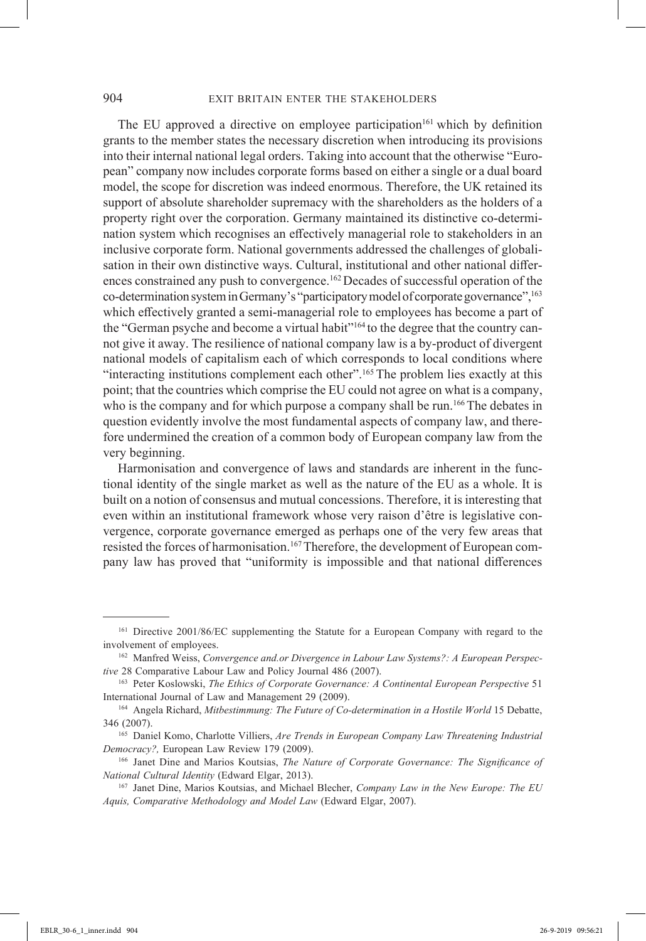The EU approved a directive on employee participation<sup>161</sup> which by definition grants to the member states the necessary discretion when introducing its provisions into their internal national legal orders. Taking into account that the otherwise "European" company now includes corporate forms based on either a single or a dual board model, the scope for discretion was indeed enormous. Therefore, the UK retained its support of absolute shareholder supremacy with the shareholders as the holders of a property right over the corporation. Germany maintained its distinctive co-determination system which recognises an effectively managerial role to stakeholders in an inclusive corporate form. National governments addressed the challenges of globalisation in their own distinctive ways. Cultural, institutional and other national differences constrained any push to convergence.<sup>162</sup> Decades of successful operation of the co-determination system in Germany's "participatory model of corporate governance",163 which effectively granted a semi-managerial role to employees has become a part of the "German psyche and become a virtual habit"<sup>164</sup> to the degree that the country cannot give it away. The resilience of national company law is a by-product of divergent national models of capitalism each of which corresponds to local conditions where "interacting institutions complement each other".<sup>165</sup> The problem lies exactly at this point; that the countries which comprise the EU could not agree on what is a company, who is the company and for which purpose a company shall be run.<sup>166</sup> The debates in question evidently involve the most fundamental aspects of company law, and therefore undermined the creation of a common body of European company law from the very beginning.

Harmonisation and convergence of laws and standards are inherent in the functional identity of the single market as well as the nature of the EU as a whole. It is built on a notion of consensus and mutual concessions. Therefore, it is interesting that even within an institutional framework whose very raison d'être is legislative convergence, corporate governance emerged as perhaps one of the very few areas that resisted the forces of harmonisation.<sup>167</sup>Therefore, the development of European company law has proved that "uniformity is impossible and that national differences

<sup>161</sup> Directive 2001/86/EC supplementing the Statute for a European Company with regard to the involvement of employees.

<sup>162</sup> Manfred Weiss, *Convergence and.or Divergence in Labour Law Systems?: A European Perspective* 28 Comparative Labour Law and Policy Journal 486 (2007).

<sup>163</sup> Peter Koslowski, *The Ethics of Corporate Governance: A Continental European Perspective* 51 International Journal of Law and Management 29 (2009).

<sup>164</sup> Angela Richard, *Mitbestimmung: The Future of Co-determination in a Hostile World* 15 Debatte, 346 (2007).

<sup>165</sup> Daniel Komo, Charlotte Villiers, *Are Trends in European Company Law Threatening Industrial Democracy?,* European Law Review 179 (2009).

<sup>166</sup> Janet Dine and Marios Koutsias, *The Nature of Corporate Governance: The Significance of National Cultural Identity* (Edward Elgar, 2013).

<sup>167</sup> Janet Dine, Marios Koutsias, and Michael Blecher, *Company Law in the New Europe: The EU Aquis, Comparative Methodology and Model Law* (Edward Elgar, 2007).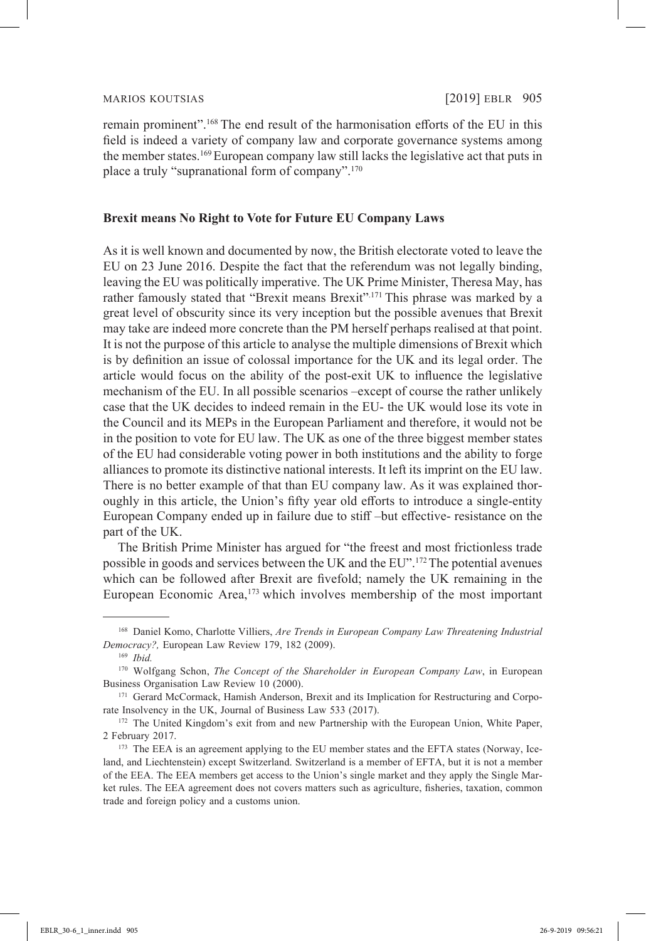remain prominent".168 The end result of the harmonisation efforts of the EU in this field is indeed a variety of company law and corporate governance systems among the member states.<sup>169</sup> European company law still lacks the legislative act that puts in place a truly "supranational form of company".170

## **Brexit means No Right to Vote for Future EU Company Laws**

As it is well known and documented by now, the British electorate voted to leave the EU on 23 June 2016. Despite the fact that the referendum was not legally binding, leaving the EU was politically imperative. The UK Prime Minister, Theresa May, has rather famously stated that "Brexit means Brexit".<sup>171</sup> This phrase was marked by a great level of obscurity since its very inception but the possible avenues that Brexit may take are indeed more concrete than the PM herself perhaps realised at that point. It is not the purpose of this article to analyse the multiple dimensions of Brexit which is by definition an issue of colossal importance for the UK and its legal order. The article would focus on the ability of the post-exit UK to influence the legislative mechanism of the EU. In all possible scenarios –except of course the rather unlikely case that the UK decides to indeed remain in the EU- the UK would lose its vote in the Council and its MEPs in the European Parliament and therefore, it would not be in the position to vote for EU law. The UK as one of the three biggest member states of the EU had considerable voting power in both institutions and the ability to forge alliances to promote its distinctive national interests. It left its imprint on the EU law. There is no better example of that than EU company law. As it was explained thoroughly in this article, the Union's fifty year old efforts to introduce a single-entity European Company ended up in failure due to stiff –but effective- resistance on the part of the UK.

The British Prime Minister has argued for "the freest and most frictionless trade possible in goods and services between the UK and the EU".172The potential avenues which can be followed after Brexit are fivefold; namely the UK remaining in the European Economic Area,<sup>173</sup> which involves membership of the most important

<sup>168</sup> Daniel Komo, Charlotte Villiers, *Are Trends in European Company Law Threatening Industrial Democracy?,* European Law Review 179, 182 (2009).

<sup>169</sup> *Ibid.*

<sup>170</sup> Wolfgang Schon, *The Concept of the Shareholder in European Company Law*, in European Business Organisation Law Review 10 (2000).

<sup>&</sup>lt;sup>171</sup> Gerard McCormack, Hamish Anderson, Brexit and its Implication for Restructuring and Corporate Insolvency in the UK, Journal of Business Law 533 (2017).

<sup>&</sup>lt;sup>172</sup> The United Kingdom's exit from and new Partnership with the European Union, White Paper, 2 February 2017.

<sup>&</sup>lt;sup>173</sup> The EEA is an agreement applying to the EU member states and the EFTA states (Norway, Iceland, and Liechtenstein) except Switzerland. Switzerland is a member of EFTA, but it is not a member of the EEA. The EEA members get access to the Union's single market and they apply the Single Market rules. The EEA agreement does not covers matters such as agriculture, fisheries, taxation, common trade and foreign policy and a customs union.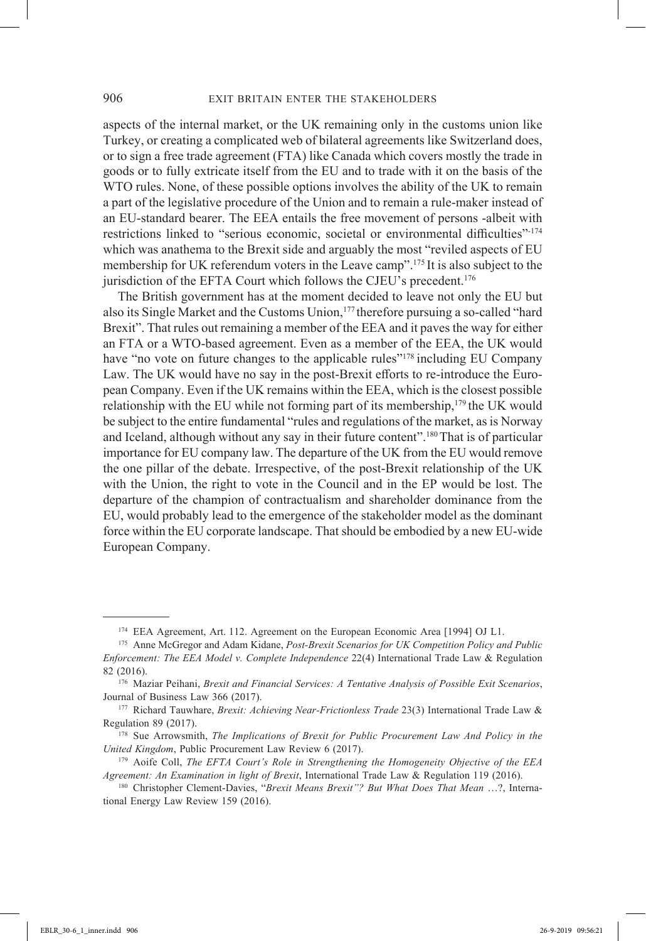aspects of the internal market, or the UK remaining only in the customs union like Turkey, or creating a complicated web of bilateral agreements like Switzerland does, or to sign a free trade agreement (FTA) like Canada which covers mostly the trade in goods or to fully extricate itself from the EU and to trade with it on the basis of the WTO rules. None, of these possible options involves the ability of the UK to remain a part of the legislative procedure of the Union and to remain a rule-maker instead of an EU-standard bearer. The EEA entails the free movement of persons -albeit with restrictions linked to "serious economic, societal or environmental difficulties"-174 which was anathema to the Brexit side and arguably the most "reviled aspects of EU membership for UK referendum voters in the Leave camp".175 It is also subject to the jurisdiction of the EFTA Court which follows the CJEU's precedent.<sup>176</sup>

The British government has at the moment decided to leave not only the EU but also its Single Market and the Customs Union,<sup>177</sup> therefore pursuing a so-called "hard Brexit". That rules out remaining a member of the EEA and it paves the way for either an FTA or a WTO-based agreement. Even as a member of the EEA, the UK would have "no vote on future changes to the applicable rules"<sup>178</sup> including EU Company Law. The UK would have no say in the post-Brexit efforts to re-introduce the European Company. Even if the UK remains within the EEA, which is the closest possible relationship with the EU while not forming part of its membership, $1^{79}$  the UK would be subject to the entire fundamental "rules and regulations of the market, as is Norway and Iceland, although without any say in their future content".<sup>180</sup> That is of particular importance for EU company law. The departure of the UK from the EU would remove the one pillar of the debate. Irrespective, of the post-Brexit relationship of the UK with the Union, the right to vote in the Council and in the EP would be lost. The departure of the champion of contractualism and shareholder dominance from the EU, would probably lead to the emergence of the stakeholder model as the dominant force within the EU corporate landscape. That should be embodied by a new EU-wide European Company.

<sup>174</sup> EEA Agreement, Art. 112. Agreement on the European Economic Area [1994] OJ L1.

<sup>175</sup> Anne McGregor and Adam Kidane, *Post-Brexit Scenarios for UK Competition Policy and Public Enforcement: The EEA Model v. Complete Independence* 22(4) International Trade Law & Regulation 82 (2016).

<sup>176</sup> Maziar Peihani, *Brexit and Financial Services: A Tentative Analysis of Possible Exit Scenarios*, Journal of Business Law 366 (2017).

<sup>177</sup> Richard Tauwhare, *Brexit: Achieving Near-Frictionless Trade* 23(3) International Trade Law & Regulation 89 (2017).

<sup>178</sup> Sue Arrowsmith, *The Implications of Brexit for Public Procurement Law And Policy in the United Kingdom*, Public Procurement Law Review 6 (2017).

<sup>179</sup> Aoife Coll, *The EFTA Court's Role in Strengthening the Homogeneity Objective of the EEA Agreement: An Examination in light of Brexit*, International Trade Law & Regulation 119 (2016).

<sup>180</sup> Christopher Clement-Davies, "*Brexit Means Brexit"? But What Does That Mean* …?, International Energy Law Review 159 (2016).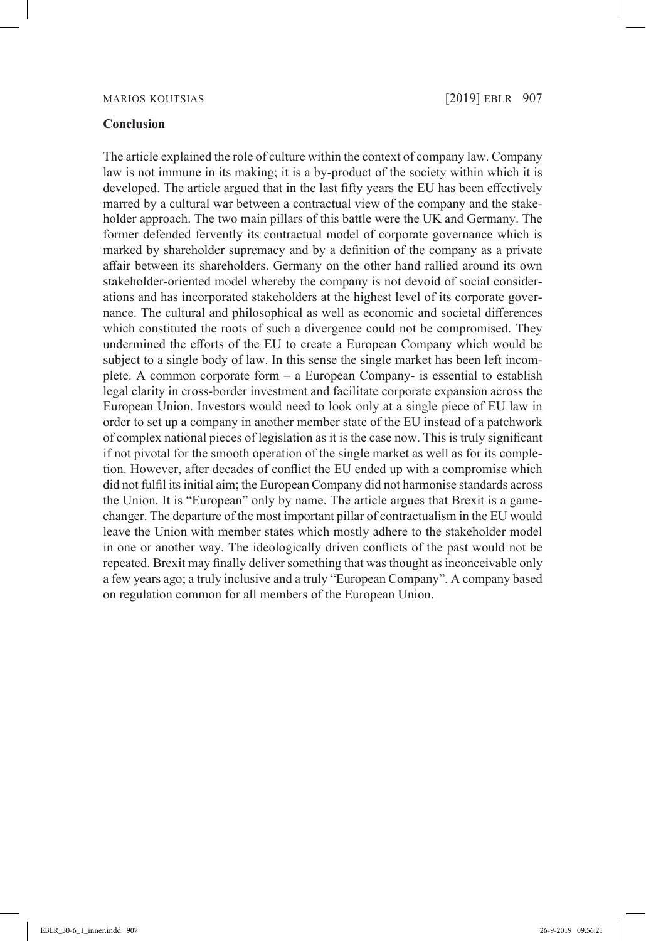### Marios Koutsias [2019] EBLR 907

### **Conclusion**

The article explained the role of culture within the context of company law. Company law is not immune in its making; it is a by-product of the society within which it is developed. The article argued that in the last fifty years the EU has been effectively marred by a cultural war between a contractual view of the company and the stakeholder approach. The two main pillars of this battle were the UK and Germany. The former defended fervently its contractual model of corporate governance which is marked by shareholder supremacy and by a definition of the company as a private affair between its shareholders. Germany on the other hand rallied around its own stakeholder-oriented model whereby the company is not devoid of social considerations and has incorporated stakeholders at the highest level of its corporate governance. The cultural and philosophical as well as economic and societal differences which constituted the roots of such a divergence could not be compromised. They undermined the efforts of the EU to create a European Company which would be subject to a single body of law. In this sense the single market has been left incomplete. A common corporate form – a European Company- is essential to establish legal clarity in cross-border investment and facilitate corporate expansion across the European Union. Investors would need to look only at a single piece of EU law in order to set up a company in another member state of the EU instead of a patchwork of complex national pieces of legislation as it is the case now. This is truly significant if not pivotal for the smooth operation of the single market as well as for its completion. However, after decades of conflict the EU ended up with a compromise which did not fulfil its initial aim; the European Company did not harmonise standards across the Union. It is "European" only by name. The article argues that Brexit is a gamechanger. The departure of the most important pillar of contractualism in the EU would leave the Union with member states which mostly adhere to the stakeholder model in one or another way. The ideologically driven conflicts of the past would not be repeated. Brexit may finally deliver something that was thought as inconceivable only a few years ago; a truly inclusive and a truly "European Company". A company based on regulation common for all members of the European Union.